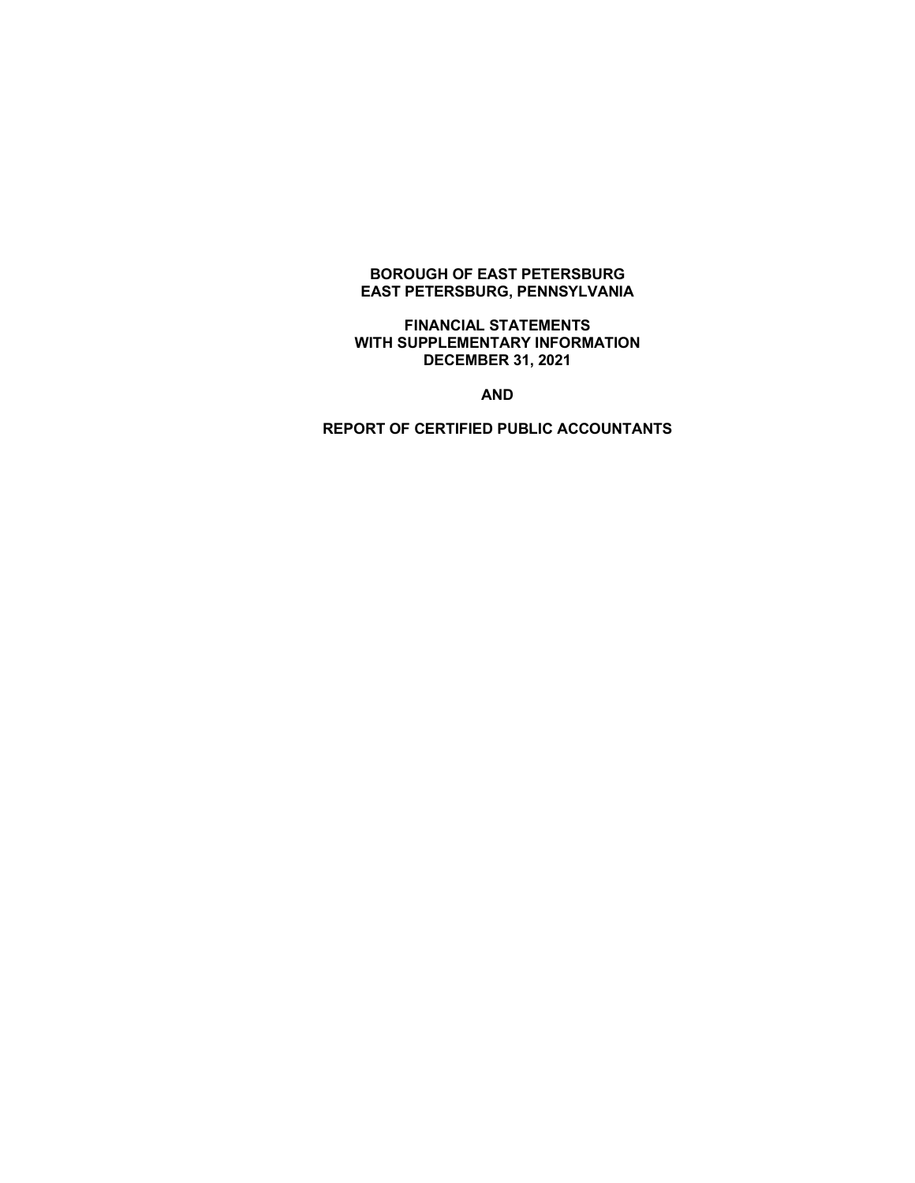### **FINANCIAL STATEMENTS WITH SUPPLEMENTARY INFORMATION DECEMBER 31, 2021**

**AND** 

**REPORT OF CERTIFIED PUBLIC ACCOUNTANTS**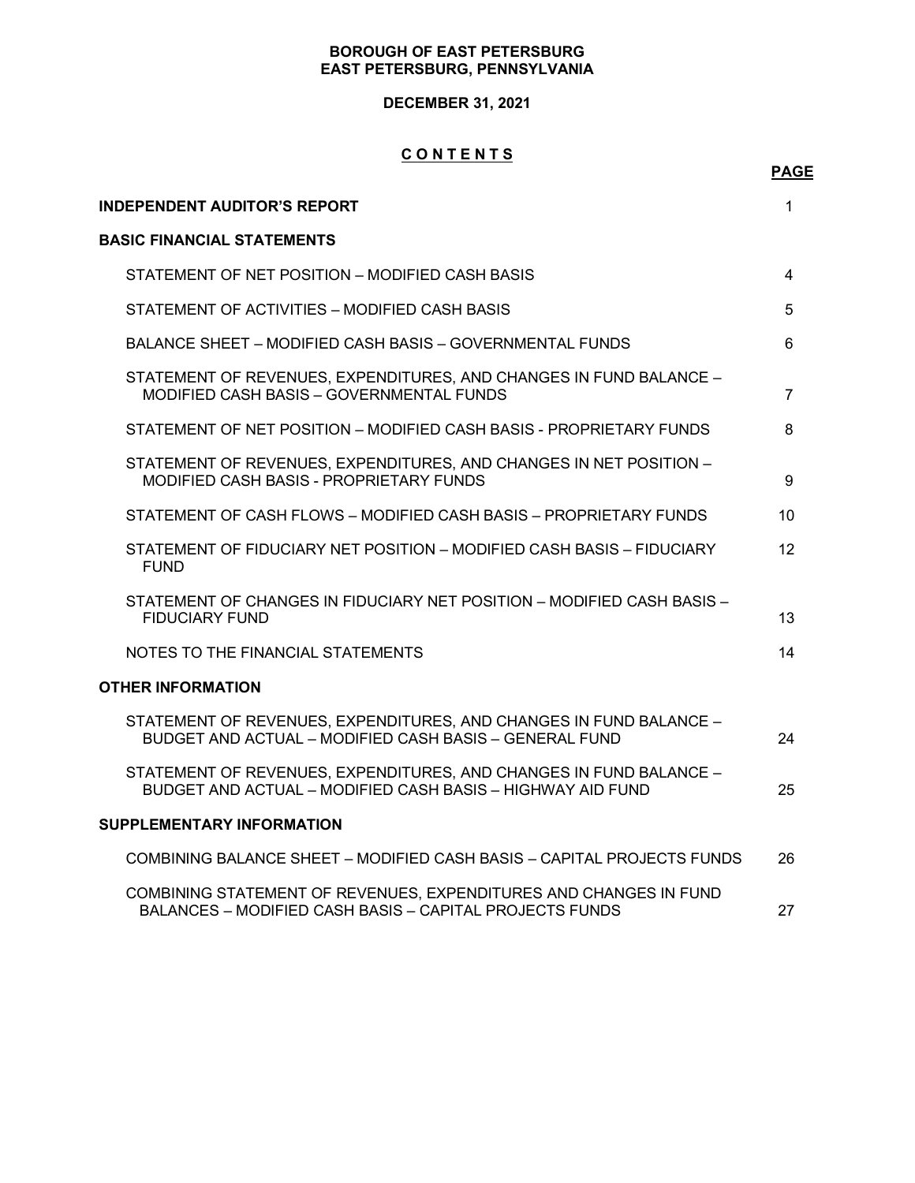# **DECEMBER 31, 2021**

# **C O N T E N T S**

|                                                                                                                                     | <b>PAGE</b>  |
|-------------------------------------------------------------------------------------------------------------------------------------|--------------|
| <b>INDEPENDENT AUDITOR'S REPORT</b>                                                                                                 | $\mathbf{1}$ |
| <b>BASIC FINANCIAL STATEMENTS</b>                                                                                                   |              |
| STATEMENT OF NET POSITION - MODIFIED CASH BASIS                                                                                     | 4            |
| STATEMENT OF ACTIVITIES – MODIFIED CASH BASIS                                                                                       | 5            |
| BALANCE SHEET - MODIFIED CASH BASIS - GOVERNMENTAL FUNDS                                                                            | 6            |
| STATEMENT OF REVENUES, EXPENDITURES, AND CHANGES IN FUND BALANCE -<br>MODIFIED CASH BASIS - GOVERNMENTAL FUNDS                      | 7            |
| STATEMENT OF NET POSITION – MODIFIED CASH BASIS - PROPRIETARY FUNDS                                                                 | 8            |
| STATEMENT OF REVENUES, EXPENDITURES, AND CHANGES IN NET POSITION -<br>MODIFIED CASH BASIS - PROPRIETARY FUNDS                       | 9            |
| STATEMENT OF CASH FLOWS - MODIFIED CASH BASIS - PROPRIETARY FUNDS                                                                   | 10           |
| STATEMENT OF FIDUCIARY NET POSITION – MODIFIED CASH BASIS – FIDUCIARY<br><b>FUND</b>                                                | 12           |
| STATEMENT OF CHANGES IN FIDUCIARY NET POSITION - MODIFIED CASH BASIS -<br><b>FIDUCIARY FUND</b>                                     | 13           |
| NOTES TO THE FINANCIAL STATEMENTS                                                                                                   | 14           |
| <b>OTHER INFORMATION</b>                                                                                                            |              |
| STATEMENT OF REVENUES, EXPENDITURES, AND CHANGES IN FUND BALANCE -<br>BUDGET AND ACTUAL - MODIFIED CASH BASIS - GENERAL FUND        | 24           |
| STATEMENT OF REVENUES, EXPENDITURES, AND CHANGES IN FUND BALANCE -<br>BUDGET AND ACTUAL - MODIFIED CASH BASIS - HIGHWAY AID FUND    | 25           |
| <b>SUPPLEMENTARY INFORMATION</b>                                                                                                    |              |
| COMBINING BALANCE SHEET - MODIFIED CASH BASIS - CAPITAL PROJECTS FUNDS                                                              | 26           |
| COMBINING STATEMENT OF REVENUES, EXPENDITURES AND CHANGES IN FUND<br><b>BALANCES - MODIFIED CASH BASIS - CAPITAL PROJECTS FUNDS</b> | 27           |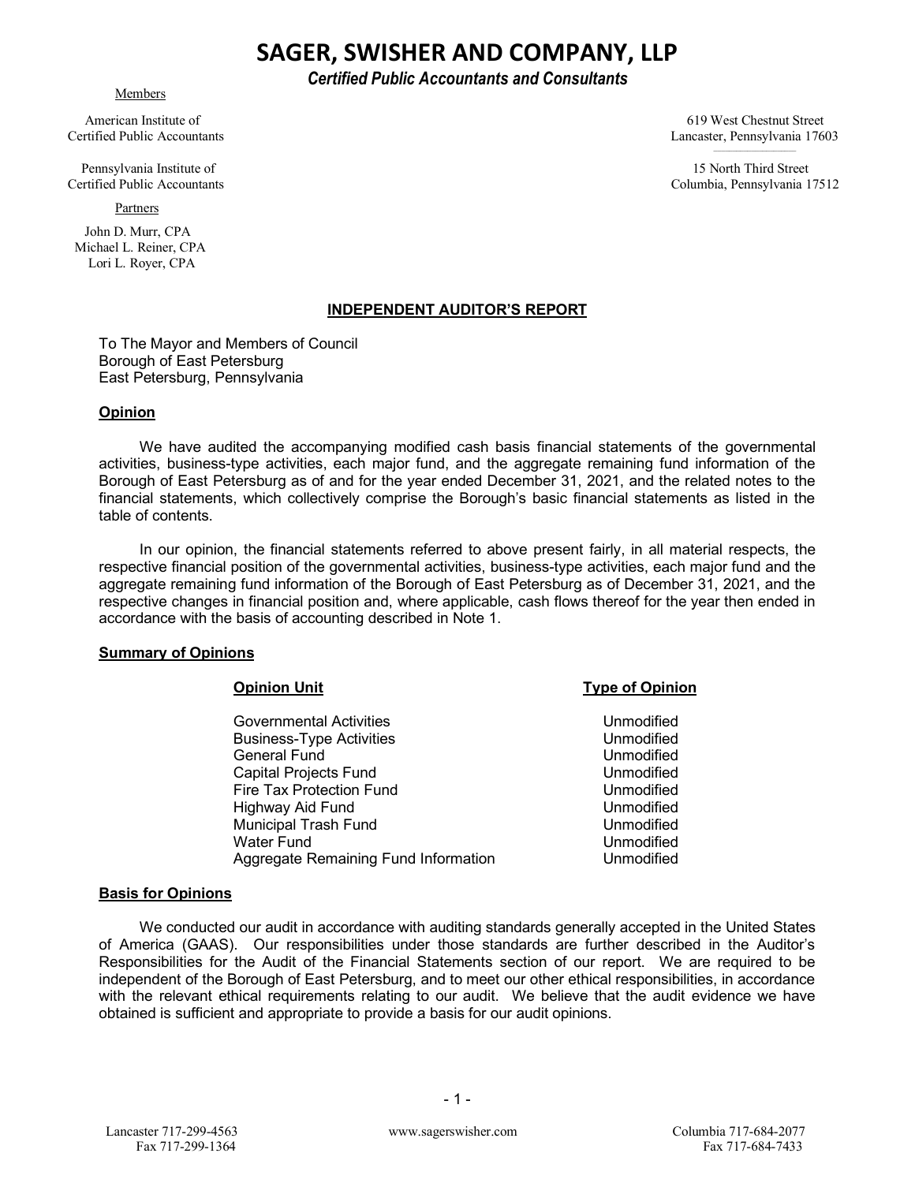# **SAGER, SWISHER AND COMPANY, LLP**

*Certified Public Accountants and Consultants* 

 $\mathcal{L}_\text{max}$  and  $\mathcal{L}_\text{max}$  and  $\mathcal{L}_\text{max}$  and  $\mathcal{L}_\text{max}$  and  $\mathcal{L}_\text{max}$  and  $\mathcal{L}_\text{max}$ 

Members

American Institute of 619 West Chestnut Street<br>
Certified Public Accountants

 Pennsylvania Institute of 15 North Third Street Certified Public Accountants

Partners

 John D. Murr, CPA Michael L. Reiner, CPA Lori L. Royer, CPA

### **INDEPENDENT AUDITOR'S REPORT**

To The Mayor and Members of Council Borough of East Petersburg East Petersburg, Pennsylvania

### **Opinion**

 We have audited the accompanying modified cash basis financial statements of the governmental activities, business-type activities, each major fund, and the aggregate remaining fund information of the Borough of East Petersburg as of and for the year ended December 31, 2021, and the related notes to the financial statements, which collectively comprise the Borough's basic financial statements as listed in the table of contents.

 In our opinion, the financial statements referred to above present fairly, in all material respects, the respective financial position of the governmental activities, business-type activities, each major fund and the aggregate remaining fund information of the Borough of East Petersburg as of December 31, 2021, and the respective changes in financial position and, where applicable, cash flows thereof for the year then ended in accordance with the basis of accounting described in Note 1.

### **Summary of Opinions**

# **Opinion Unit Type of Opinion** Governmental Activities Unmodified Business-Type Activities Unmodified General Fund Capital Projects Fund Unmodified Fire Tax Protection Fund<br>
Highway Aid Fund Unmodified<br>
Unmodified Highway Aid Fund Municipal Trash Fund Unmodified Water Fund Unmodified Aggregate Remaining Fund Information Unmodified

### **Basis for Opinions**

 We conducted our audit in accordance with auditing standards generally accepted in the United States of America (GAAS). Our responsibilities under those standards are further described in the Auditor's Responsibilities for the Audit of the Financial Statements section of our report. We are required to be independent of the Borough of East Petersburg, and to meet our other ethical responsibilities, in accordance with the relevant ethical requirements relating to our audit. We believe that the audit evidence we have obtained is sufficient and appropriate to provide a basis for our audit opinions.

Lancaster, Pennsylvania 17603

Columbia, Pennsylvania 17512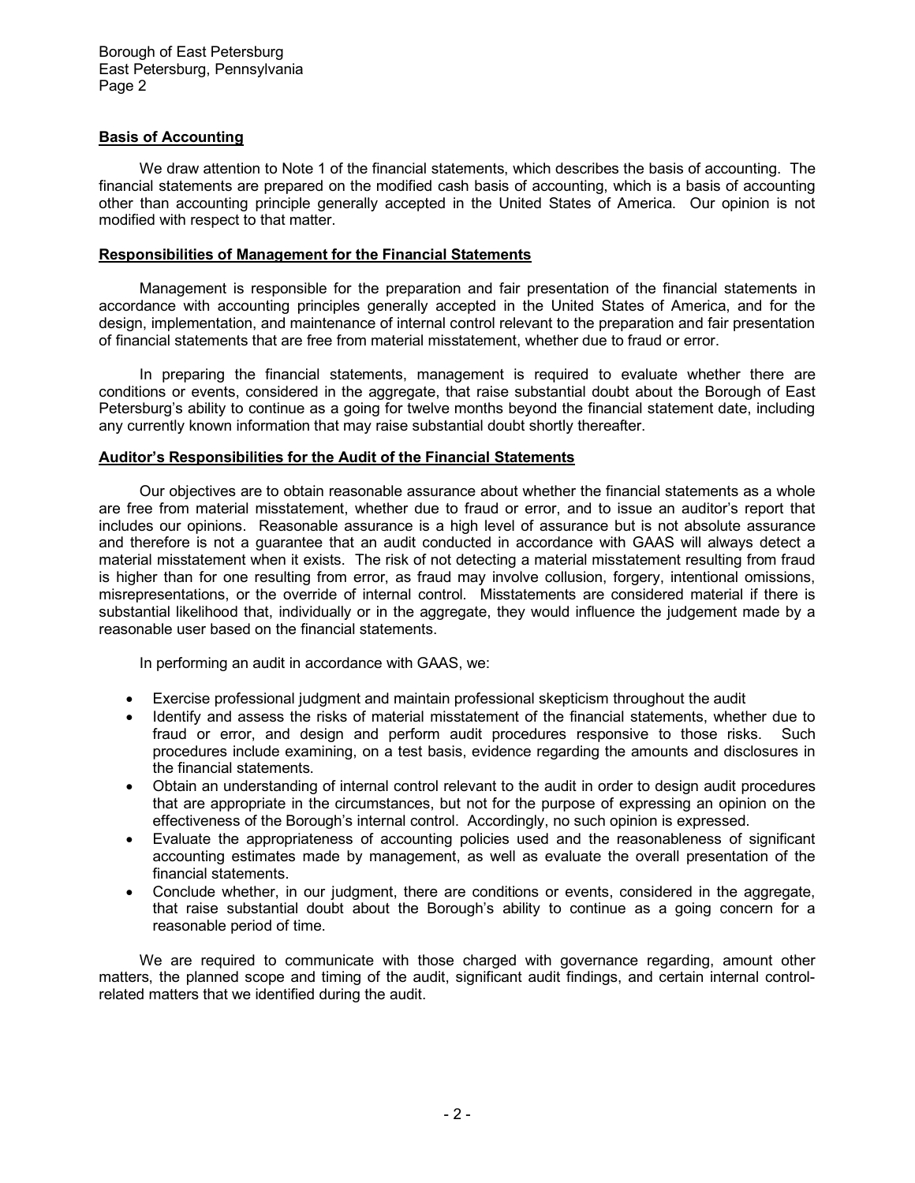### **Basis of Accounting**

 We draw attention to Note 1 of the financial statements, which describes the basis of accounting. The financial statements are prepared on the modified cash basis of accounting, which is a basis of accounting other than accounting principle generally accepted in the United States of America. Our opinion is not modified with respect to that matter.

### **Responsibilities of Management for the Financial Statements**

 Management is responsible for the preparation and fair presentation of the financial statements in accordance with accounting principles generally accepted in the United States of America, and for the design, implementation, and maintenance of internal control relevant to the preparation and fair presentation of financial statements that are free from material misstatement, whether due to fraud or error.

 In preparing the financial statements, management is required to evaluate whether there are conditions or events, considered in the aggregate, that raise substantial doubt about the Borough of East Petersburg's ability to continue as a going for twelve months beyond the financial statement date, including any currently known information that may raise substantial doubt shortly thereafter.

### **Auditor's Responsibilities for the Audit of the Financial Statements**

Our objectives are to obtain reasonable assurance about whether the financial statements as a whole are free from material misstatement, whether due to fraud or error, and to issue an auditor's report that includes our opinions. Reasonable assurance is a high level of assurance but is not absolute assurance and therefore is not a guarantee that an audit conducted in accordance with GAAS will always detect a material misstatement when it exists. The risk of not detecting a material misstatement resulting from fraud is higher than for one resulting from error, as fraud may involve collusion, forgery, intentional omissions, misrepresentations, or the override of internal control. Misstatements are considered material if there is substantial likelihood that, individually or in the aggregate, they would influence the judgement made by a reasonable user based on the financial statements.

In performing an audit in accordance with GAAS, we:

- Exercise professional judgment and maintain professional skepticism throughout the audit
- Identify and assess the risks of material misstatement of the financial statements, whether due to fraud or error, and design and perform audit procedures responsive to those risks. Such procedures include examining, on a test basis, evidence regarding the amounts and disclosures in the financial statements.
- Obtain an understanding of internal control relevant to the audit in order to design audit procedures that are appropriate in the circumstances, but not for the purpose of expressing an opinion on the effectiveness of the Borough's internal control. Accordingly, no such opinion is expressed.
- Evaluate the appropriateness of accounting policies used and the reasonableness of significant accounting estimates made by management, as well as evaluate the overall presentation of the financial statements.
- Conclude whether, in our judgment, there are conditions or events, considered in the aggregate, that raise substantial doubt about the Borough's ability to continue as a going concern for a reasonable period of time.

 We are required to communicate with those charged with governance regarding, amount other matters, the planned scope and timing of the audit, significant audit findings, and certain internal controlrelated matters that we identified during the audit.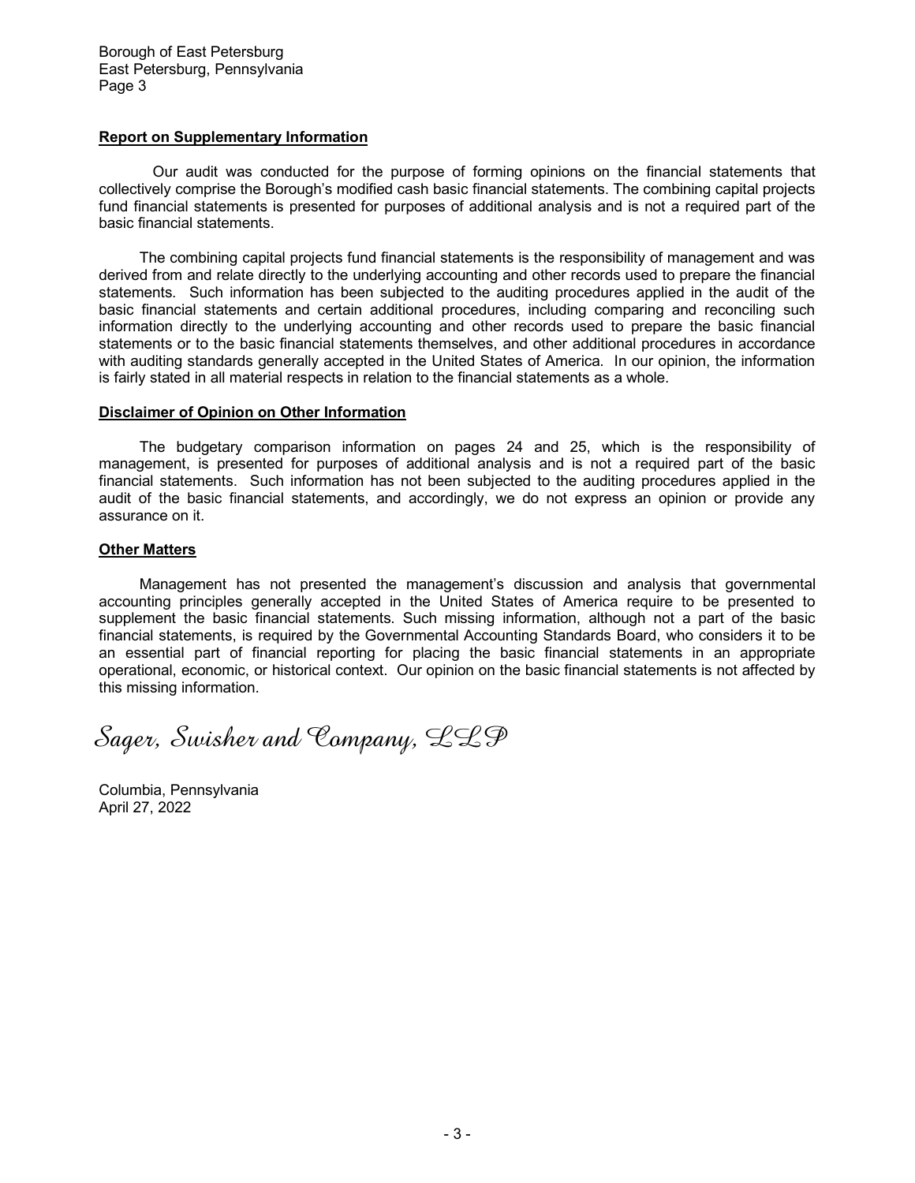Borough of East Petersburg East Petersburg, Pennsylvania Page 3

#### **Report on Supplementary Information**

 Our audit was conducted for the purpose of forming opinions on the financial statements that collectively comprise the Borough's modified cash basic financial statements. The combining capital projects fund financial statements is presented for purposes of additional analysis and is not a required part of the basic financial statements.

 The combining capital projects fund financial statements is the responsibility of management and was derived from and relate directly to the underlying accounting and other records used to prepare the financial statements. Such information has been subjected to the auditing procedures applied in the audit of the basic financial statements and certain additional procedures, including comparing and reconciling such information directly to the underlying accounting and other records used to prepare the basic financial statements or to the basic financial statements themselves, and other additional procedures in accordance with auditing standards generally accepted in the United States of America. In our opinion, the information is fairly stated in all material respects in relation to the financial statements as a whole.

#### **Disclaimer of Opinion on Other Information**

 The budgetary comparison information on pages 24 and 25, which is the responsibility of management, is presented for purposes of additional analysis and is not a required part of the basic financial statements. Such information has not been subjected to the auditing procedures applied in the audit of the basic financial statements, and accordingly, we do not express an opinion or provide any assurance on it.

#### **Other Matters**

 Management has not presented the management's discussion and analysis that governmental accounting principles generally accepted in the United States of America require to be presented to supplement the basic financial statements. Such missing information, although not a part of the basic financial statements, is required by the Governmental Accounting Standards Board, who considers it to be an essential part of financial reporting for placing the basic financial statements in an appropriate operational, economic, or historical context. Our opinion on the basic financial statements is not affected by this missing information.

Sager, Swisher and Company, LLP

Columbia, Pennsylvania April 27, 2022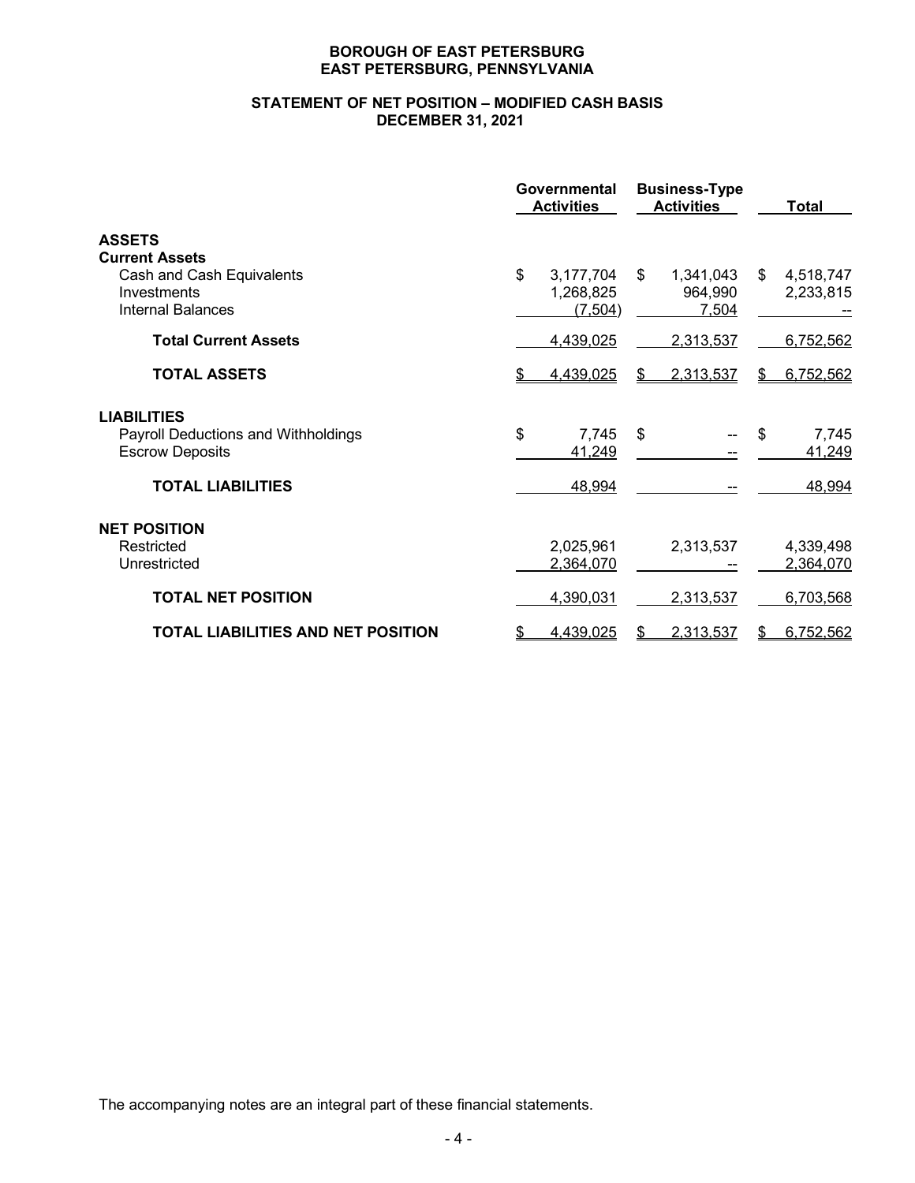# **STATEMENT OF NET POSITION – MODIFIED CASH BASIS DECEMBER 31, 2021**

|                                                                                     | Governmental<br><b>Activities</b>        | <b>Business-Type</b><br><b>Activities</b> | Total                        |
|-------------------------------------------------------------------------------------|------------------------------------------|-------------------------------------------|------------------------------|
| <b>ASSETS</b><br><b>Current Assets</b>                                              |                                          |                                           |                              |
| Cash and Cash Equivalents<br>Investments<br><b>Internal Balances</b>                | \$<br>3,177,704<br>1,268,825<br>(7, 504) | \$<br>1,341,043<br>964,990<br>7,504       | \$<br>4,518,747<br>2,233,815 |
| <b>Total Current Assets</b>                                                         | 4,439,025                                | 2,313,537                                 | 6,752,562                    |
| <b>TOTAL ASSETS</b>                                                                 | 4,439,025                                | 2,313,537<br>S                            | 6,752,562<br>\$.             |
| <b>LIABILITIES</b><br>Payroll Deductions and Withholdings<br><b>Escrow Deposits</b> | \$<br>7,745<br>41,249                    | \$                                        | \$<br>7,745<br>41,249        |
| <b>TOTAL LIABILITIES</b>                                                            | 48,994                                   |                                           | 48,994                       |
| <b>NET POSITION</b>                                                                 |                                          |                                           |                              |
| Restricted<br>Unrestricted                                                          | 2,025,961<br>2,364,070                   | 2,313,537                                 | 4,339,498<br>2,364,070       |
| <b>TOTAL NET POSITION</b>                                                           | 4,390,031                                | 2,313,537                                 | 6,703,568                    |
| TOTAL LIABILITIES AND NET POSITION                                                  | 4,439,025                                | 2,313,537                                 | 6,752,562                    |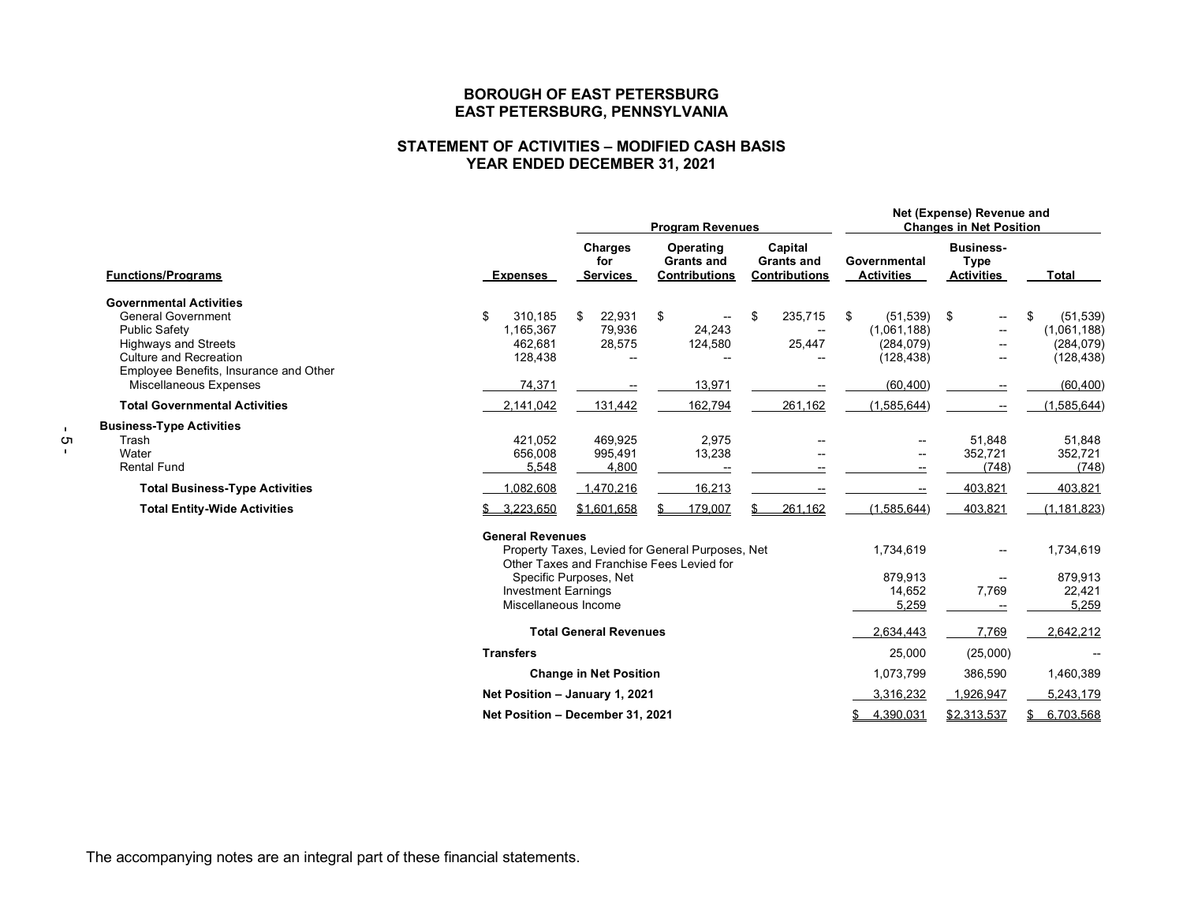### **STATEMENT OF ACTIVITIES – MODIFIED CASH BASIS YEAR ENDED DECEMBER 31, 2021**

|                                                             |                                  | <b>Program Revenues</b>           |                                                        |                                                      | Net (Expense) Revenue and<br><b>Changes in Net Position</b> |                                                      |                                |
|-------------------------------------------------------------|----------------------------------|-----------------------------------|--------------------------------------------------------|------------------------------------------------------|-------------------------------------------------------------|------------------------------------------------------|--------------------------------|
| <b>Functions/Programs</b>                                   | <b>Expenses</b>                  | Charges<br>for<br><b>Services</b> | Operating<br><b>Grants and</b><br><b>Contributions</b> | Capital<br><b>Grants and</b><br><b>Contributions</b> | Governmental<br><b>Activities</b>                           | <b>Business-</b><br><b>Type</b><br><b>Activities</b> | <b>Total</b>                   |
| <b>Governmental Activities</b><br><b>General Government</b> | \$<br>310,185                    | 22,931                            |                                                        | \$                                                   |                                                             |                                                      |                                |
| Public Safety                                               | 1,165,367                        | \$<br>79,936                      | \$<br>--<br>24,243                                     | 235,715                                              | \$<br>(51, 539)<br>(1,061,188)                              | \$                                                   | (51, 539)<br>\$<br>(1,061,188) |
| <b>Highways and Streets</b>                                 | 462,681                          | 28,575                            | 124,580                                                | 25,447                                               | (284, 079)                                                  |                                                      | (284, 079)                     |
| Culture and Recreation                                      | 128,438                          |                                   |                                                        |                                                      | (128, 438)                                                  | $\overline{\phantom{a}}$                             | (128, 438)                     |
| Employee Benefits, Insurance and Other                      |                                  |                                   |                                                        |                                                      |                                                             |                                                      |                                |
| Miscellaneous Expenses                                      | 74,371                           |                                   | 13,971                                                 |                                                      | (60, 400)                                                   |                                                      | (60, 400)                      |
| <b>Total Governmental Activities</b>                        | 2,141,042                        | 131,442                           | 162,794                                                | 261,162                                              | (1,585,644)                                                 |                                                      | (1,585,644)                    |
| <b>Business-Type Activities</b>                             |                                  |                                   |                                                        |                                                      |                                                             |                                                      |                                |
| Trash                                                       | 421,052                          | 469,925                           | 2,975                                                  |                                                      |                                                             | 51.848                                               | 51,848                         |
| Water                                                       | 656,008                          | 995,491                           | 13,238                                                 |                                                      |                                                             | 352,721                                              | 352,721                        |
| <b>Rental Fund</b>                                          | 5,548                            | 4,800                             |                                                        |                                                      |                                                             | (748)                                                | (748)                          |
| <b>Total Business-Type Activities</b>                       | 1,082,608                        | 1,470,216                         | 16,213                                                 |                                                      |                                                             | 403,821                                              | 403,821                        |
| <b>Total Entity-Wide Activities</b>                         | 3,223,650                        | \$1,601,658                       | 179,007                                                | 261,162                                              | (1,585,644)                                                 | 403,821                                              | (1, 181, 823)                  |
|                                                             | <b>General Revenues</b>          |                                   | Property Taxes, Levied for General Purposes, Net       |                                                      | 1,734,619                                                   |                                                      | 1,734,619                      |
|                                                             |                                  |                                   | Other Taxes and Franchise Fees Levied for              |                                                      |                                                             |                                                      |                                |
|                                                             |                                  | Specific Purposes, Net            |                                                        |                                                      | 879,913                                                     | $\overline{\phantom{a}}$                             | 879,913                        |
|                                                             | <b>Investment Earnings</b>       |                                   |                                                        |                                                      | 14.652                                                      | 7,769                                                | 22,421                         |
|                                                             | Miscellaneous Income             |                                   |                                                        |                                                      | 5,259                                                       |                                                      | 5,259                          |
|                                                             |                                  | <b>Total General Revenues</b>     |                                                        |                                                      | 2,634,443                                                   | 7,769                                                | 2,642,212                      |
|                                                             | <b>Transfers</b>                 |                                   |                                                        |                                                      | 25,000                                                      | (25,000)                                             |                                |
|                                                             |                                  | <b>Change in Net Position</b>     |                                                        |                                                      | 1,073,799                                                   | 386,590                                              | 1,460,389                      |
|                                                             | Net Position - January 1, 2021   |                                   |                                                        |                                                      | 3,316,232                                                   | 1,926,947                                            | 5,243,179                      |
|                                                             | Net Position - December 31, 2021 |                                   |                                                        |                                                      | 4,390,031<br>\$                                             | \$2,313,537                                          | 6,703,568<br>\$                |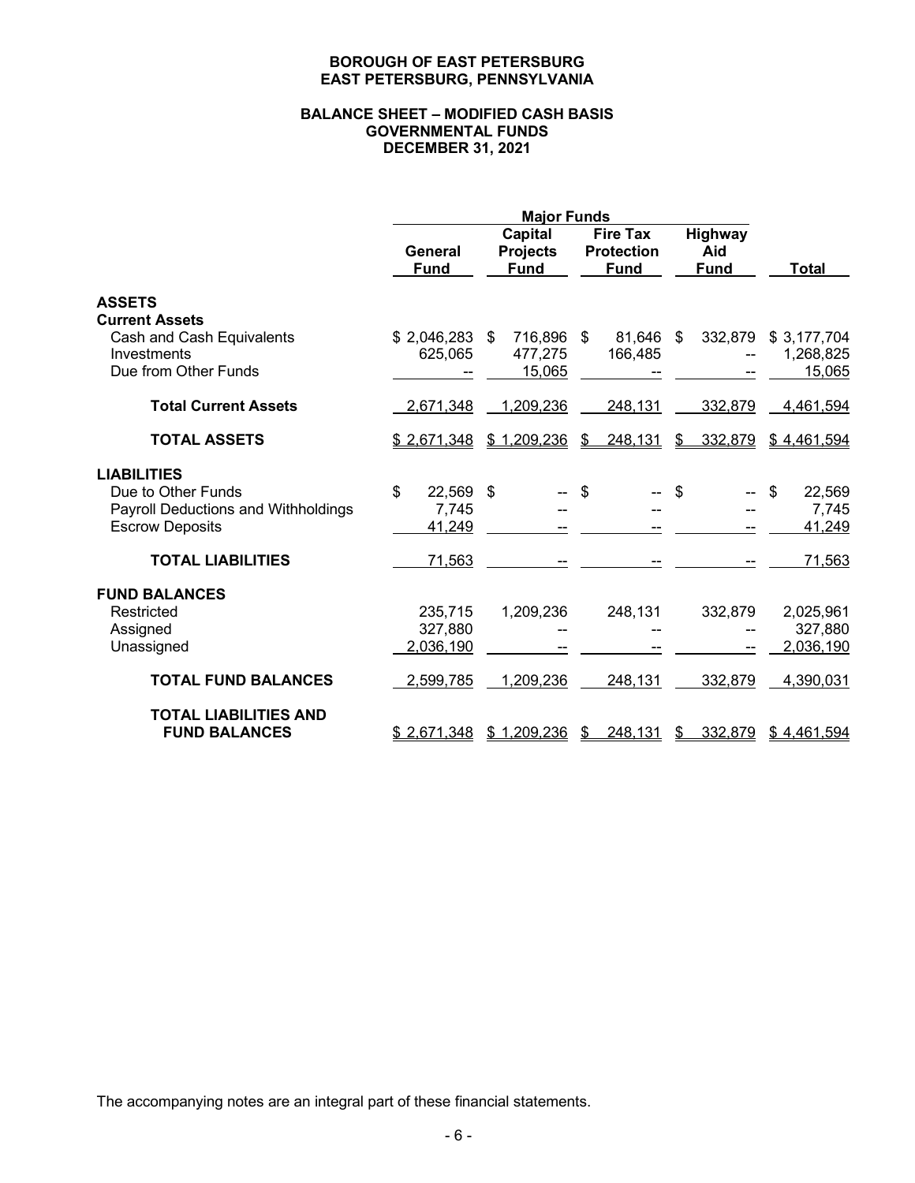### **BALANCE SHEET – MODIFIED CASH BASIS GOVERNMENTAL FUNDS DECEMBER 31, 2021**

|                                     | General<br><b>Fund</b> | Capital<br><b>Projects</b><br><b>Fund</b> | <b>Fire Tax</b><br><b>Protection</b><br><b>Fund</b> | Highway<br>Aid<br><b>Fund</b> | Total        |
|-------------------------------------|------------------------|-------------------------------------------|-----------------------------------------------------|-------------------------------|--------------|
| <b>ASSETS</b>                       |                        |                                           |                                                     |                               |              |
| <b>Current Assets</b>               |                        |                                           |                                                     |                               |              |
| Cash and Cash Equivalents           | \$2,046,283            | 716,896<br>\$                             | \$<br>81,646                                        | 332,879<br>S.                 | \$3,177,704  |
| Investments                         | 625,065                | 477,275                                   | 166,485                                             |                               | 1,268,825    |
| Due from Other Funds                |                        | 15,065                                    |                                                     |                               | 15,065       |
| <b>Total Current Assets</b>         | 2,671,348              | 1,209,236                                 | 248,131                                             | 332,879                       | 4,461,594    |
| <b>TOTAL ASSETS</b>                 | \$2.671.348            | \$1.209.236                               | 248.131<br>$\mathfrak{P}$                           | 332,879<br>\$                 | \$4.461.594  |
| <b>LIABILITIES</b>                  |                        |                                           |                                                     |                               |              |
| Due to Other Funds                  | \$<br>22,569           | \$                                        | \$                                                  | \$                            | \$<br>22,569 |
| Payroll Deductions and Withholdings | 7,745                  |                                           |                                                     |                               | 7,745        |
| <b>Escrow Deposits</b>              | 41,249                 |                                           |                                                     |                               | 41,249       |
| <b>TOTAL LIABILITIES</b>            | 71,563                 |                                           |                                                     |                               | 71,563       |
| <b>FUND BALANCES</b>                |                        |                                           |                                                     |                               |              |
| Restricted                          | 235,715                | 1,209,236                                 | 248,131                                             | 332,879                       | 2,025,961    |
| Assigned                            | 327,880                |                                           |                                                     |                               | 327,880      |
| Unassigned                          | 2,036,190              |                                           |                                                     |                               | 2,036,190    |
| <b>TOTAL FUND BALANCES</b>          | 2,599,785              | 1,209,236                                 | 248,131                                             | 332,879                       | 4,390,031    |
| <b>TOTAL LIABILITIES AND</b>        |                        |                                           |                                                     |                               |              |
| <b>FUND BALANCES</b>                | \$2,671,348            | \$1.209.236                               | 248.131<br>\$                                       | 332,879<br>\$                 | \$4.461.594  |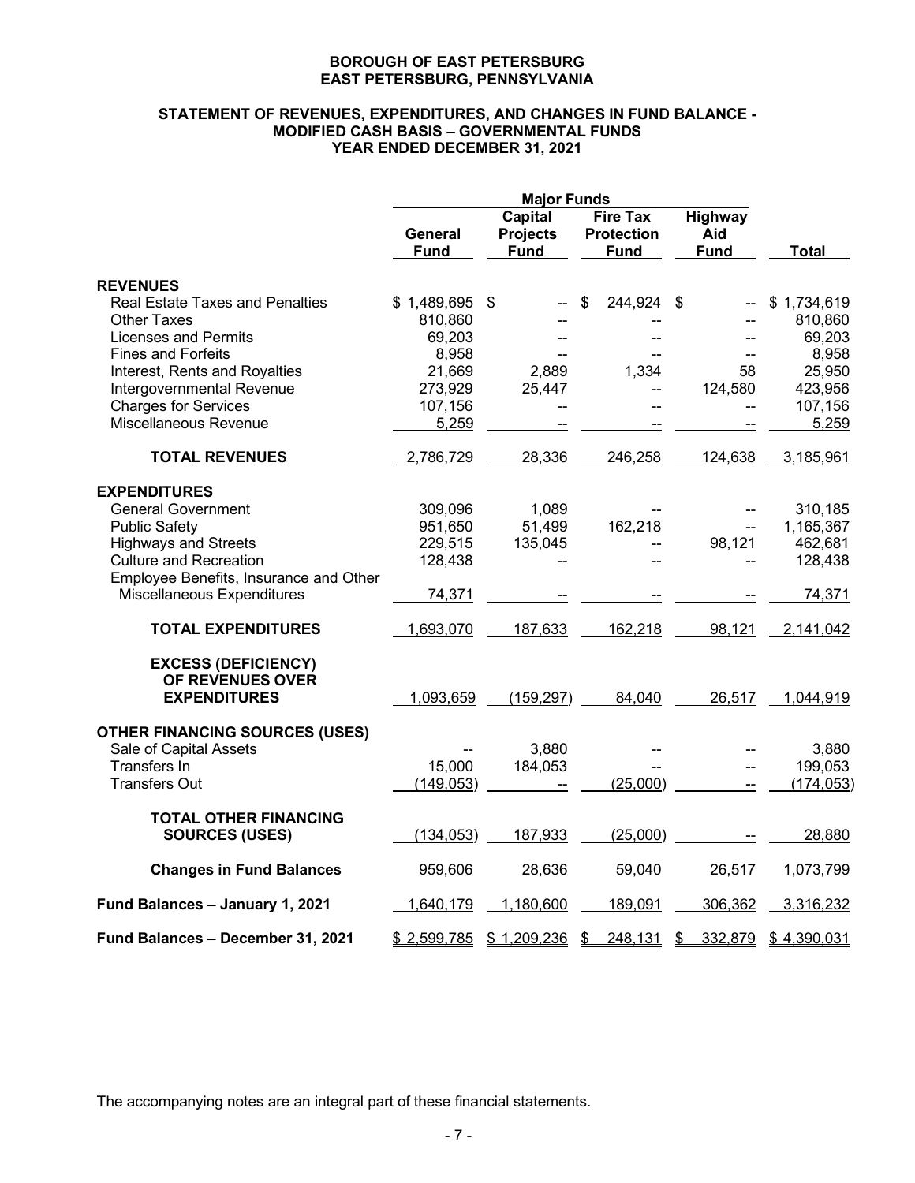### **STATEMENT OF REVENUES, EXPENDITURES, AND CHANGES IN FUND BALANCE - MODIFIED CASH BASIS – GOVERNMENTAL FUNDS YEAR ENDED DECEMBER 31, 2021**

|                                                                       | General<br><b>Fund</b> | Capital<br><b>Projects</b><br><b>Fund</b> | <b>Fire Tax</b><br><b>Protection</b><br><b>Fund</b> | Highway<br>Aid<br><b>Fund</b> | <b>Total</b> |
|-----------------------------------------------------------------------|------------------------|-------------------------------------------|-----------------------------------------------------|-------------------------------|--------------|
| <b>REVENUES</b>                                                       |                        |                                           |                                                     |                               |              |
| Real Estate Taxes and Penalties                                       | \$1,489,695            | \$                                        | \$<br>244,924                                       | \$                            | \$1,734,619  |
| <b>Other Taxes</b>                                                    | 810,860                |                                           |                                                     |                               | 810,860      |
| <b>Licenses and Permits</b>                                           | 69,203                 |                                           |                                                     |                               | 69,203       |
| <b>Fines and Forfeits</b>                                             | 8,958                  |                                           |                                                     |                               | 8,958        |
| Interest, Rents and Royalties                                         | 21,669                 | 2,889                                     | 1,334                                               | 58                            | 25,950       |
| Intergovernmental Revenue                                             | 273,929                | 25,447                                    | --                                                  | 124,580                       | 423,956      |
| <b>Charges for Services</b>                                           | 107,156                |                                           | --                                                  | --                            | 107,156      |
| Miscellaneous Revenue                                                 | 5,259                  |                                           |                                                     |                               | 5,259        |
| <b>TOTAL REVENUES</b>                                                 | 2,786,729              | 28,336                                    | 246,258                                             | 124,638                       | 3,185,961    |
| <b>EXPENDITURES</b>                                                   |                        |                                           |                                                     |                               |              |
| <b>General Government</b>                                             | 309,096                | 1,089                                     |                                                     |                               | 310,185      |
| <b>Public Safety</b>                                                  | 951,650                | 51,499                                    | 162,218                                             |                               | 1,165,367    |
| <b>Highways and Streets</b>                                           | 229,515                | 135,045                                   |                                                     | 98,121                        | 462,681      |
| <b>Culture and Recreation</b>                                         | 128,438                |                                           |                                                     |                               | 128,438      |
| Employee Benefits, Insurance and Other                                |                        |                                           |                                                     |                               |              |
| Miscellaneous Expenditures                                            | 74,371                 |                                           |                                                     |                               | 74,371       |
| <b>TOTAL EXPENDITURES</b>                                             | 1,693,070              | 187,633                                   | 162,218                                             | 98,121                        | 2,141,042    |
| <b>EXCESS (DEFICIENCY)</b><br>OF REVENUES OVER<br><b>EXPENDITURES</b> | 1,093,659              | (159, 297)                                | 84,040                                              | 26,517                        | 1,044,919    |
| <b>OTHER FINANCING SOURCES (USES)</b>                                 |                        |                                           |                                                     |                               |              |
| Sale of Capital Assets                                                |                        | 3,880                                     |                                                     |                               | 3,880        |
| <b>Transfers In</b>                                                   | 15,000                 | 184,053                                   |                                                     |                               | 199,053      |
| <b>Transfers Out</b>                                                  | (149, 053)             |                                           | (25,000)                                            |                               | (174, 053)   |
| <b>TOTAL OTHER FINANCING</b>                                          |                        |                                           |                                                     |                               |              |
| <b>SOURCES (USES)</b>                                                 | (134, 053)             | 187,933                                   | (25,000)                                            |                               | 28,880       |
| <b>Changes in Fund Balances</b>                                       | 959,606                | 28,636                                    | 59,040                                              | 26,517                        | 1,073,799    |
| Fund Balances - January 1, 2021                                       | 1,640,179              | 1,180,600                                 | 189,091                                             | 306,362                       | 3,316,232    |
| Fund Balances - December 31, 2021                                     | \$2,599,785            | \$1,209,236                               | 248,131<br>S                                        | 332,879<br>S                  | \$4,390,031  |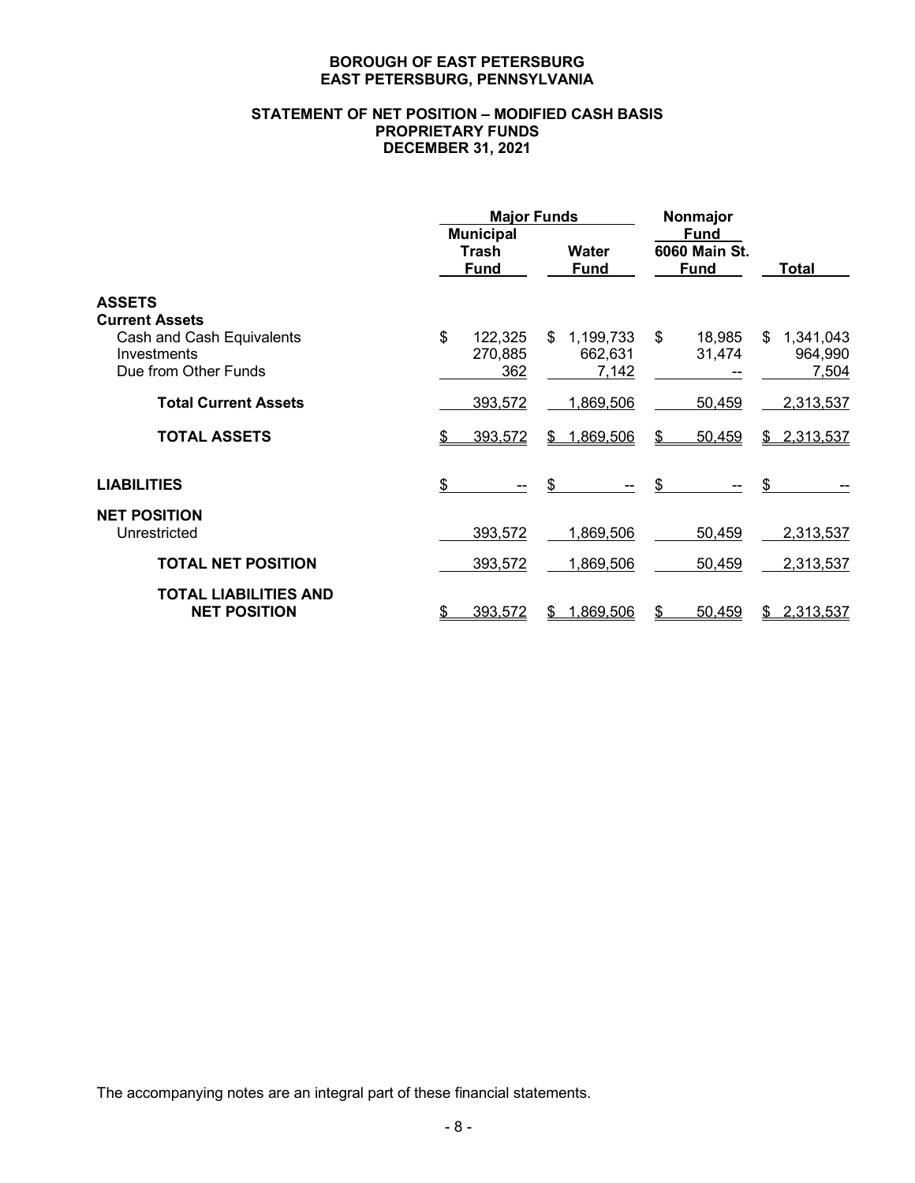### **STATEMENT OF NET POSITION – MODIFIED CASH BASIS PROPRIETARY FUNDS DECEMBER 31, 2021**

|                                                     | <b>Major Funds</b>                       |     |                      | Nonmajor |                                             |    |             |
|-----------------------------------------------------|------------------------------------------|-----|----------------------|----------|---------------------------------------------|----|-------------|
|                                                     | <b>Municipal</b><br>Trash<br><b>Fund</b> |     | Water<br><b>Fund</b> |          | <b>Fund</b><br>6060 Main St.<br><b>Fund</b> |    | Total       |
| <b>ASSETS</b>                                       |                                          |     |                      |          |                                             |    |             |
| <b>Current Assets</b>                               |                                          |     |                      |          |                                             |    |             |
| Cash and Cash Equivalents                           | \$<br>122,325                            | S.  | 1,199,733            | \$       | 18,985                                      | \$ | 1,341,043   |
| Investments                                         | 270,885                                  |     | 662,631              |          | 31,474                                      |    | 964,990     |
| Due from Other Funds                                | 362                                      |     | 7,142                |          |                                             |    | 7,504       |
| <b>Total Current Assets</b>                         | 393,572                                  |     | 1,869,506            |          | 50,459                                      |    | 2,313,537   |
| <b>TOTAL ASSETS</b>                                 | 393,572                                  | SS. | 1,869,506            | \$       | 50,459                                      |    | \$2,313,537 |
| <b>LIABILITIES</b>                                  | \$<br>$\overline{\phantom{a}}$           | \$  |                      | \$       |                                             | \$ |             |
| <b>NET POSITION</b>                                 |                                          |     |                      |          |                                             |    |             |
| Unrestricted                                        | 393,572                                  |     | 1,869,506            |          | 50,459                                      |    | 2,313,537   |
| <b>TOTAL NET POSITION</b>                           | 393,572                                  |     | 1,869,506            |          | 50,459                                      |    | 2,313,537   |
| <b>TOTAL LIABILITIES AND</b><br><b>NET POSITION</b> | 393,572                                  |     | 1.869.506            |          | 50,459                                      | \$ | 2,313,537   |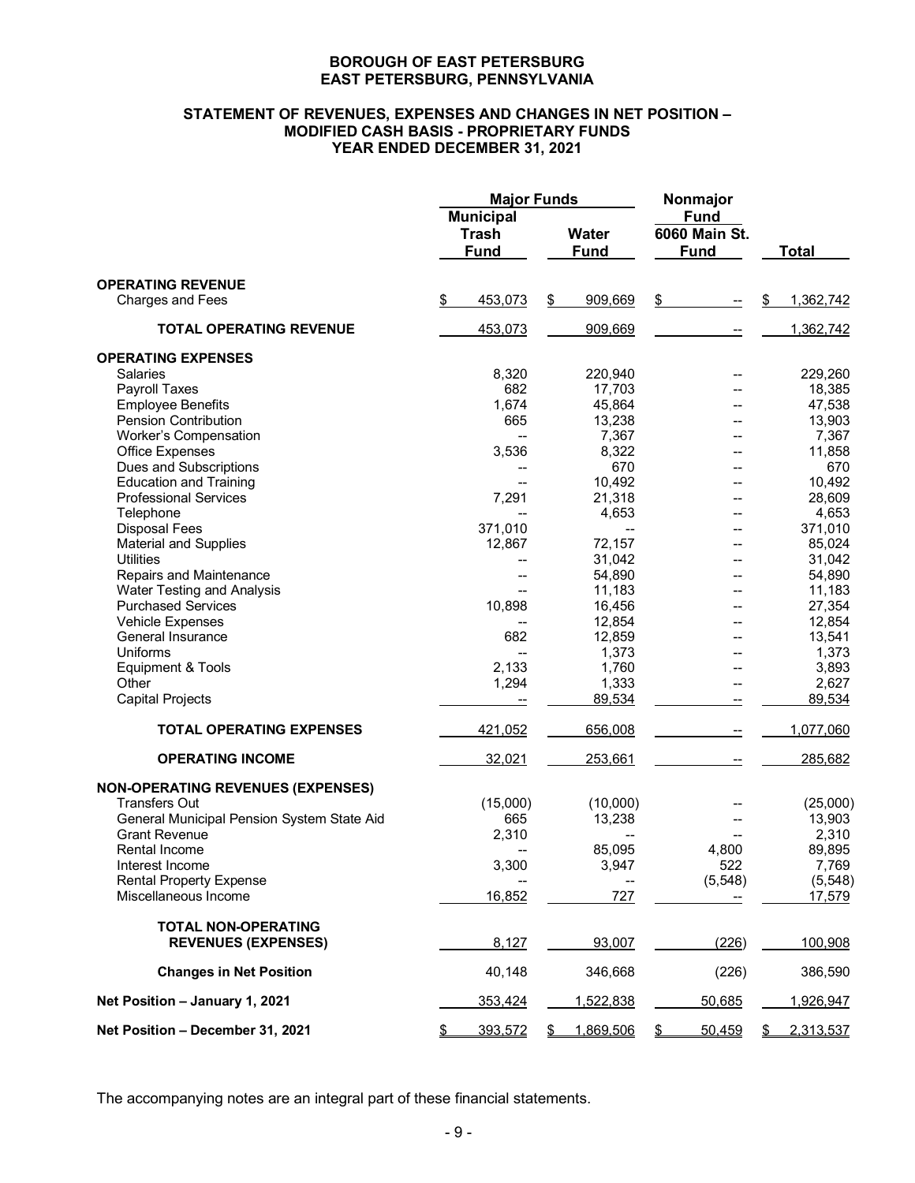### **STATEMENT OF REVENUES, EXPENSES AND CHANGES IN NET POSITION – MODIFIED CASH BASIS - PROPRIETARY FUNDS YEAR ENDED DECEMBER 31, 2021**

|                                                                  | <b>Municipal</b>            | <b>Major Funds</b>          | Nonmajor<br><b>Fund</b>                   |                  |
|------------------------------------------------------------------|-----------------------------|-----------------------------|-------------------------------------------|------------------|
|                                                                  | <b>Trash</b><br><b>Fund</b> | <b>Water</b><br><b>Fund</b> | 6060 Main St.<br><b>Fund</b>              | <b>Total</b>     |
| <b>OPERATING REVENUE</b>                                         |                             |                             |                                           |                  |
| <b>Charges and Fees</b>                                          | \$<br>453,073               | 909,669<br>\$               | $\frac{1}{2}$<br>$\overline{\phantom{a}}$ | 1,362,742<br>\$  |
| <b>TOTAL OPERATING REVENUE</b>                                   | 453,073                     | 909,669                     |                                           | 1,362,742        |
| <b>OPERATING EXPENSES</b>                                        |                             |                             |                                           |                  |
| <b>Salaries</b>                                                  | 8,320                       | 220,940                     |                                           | 229,260          |
| Payroll Taxes                                                    | 682                         | 17,703                      |                                           | 18,385           |
| <b>Employee Benefits</b>                                         | 1,674                       | 45,864                      |                                           | 47,538           |
| <b>Pension Contribution</b>                                      | 665                         | 13,238                      |                                           | 13,903           |
| Worker's Compensation                                            | --                          | 7,367                       |                                           | 7,367            |
| <b>Office Expenses</b>                                           | 3,536                       | 8,322                       |                                           | 11,858           |
| Dues and Subscriptions                                           |                             | 670                         | --                                        | 670              |
| <b>Education and Training</b>                                    | --                          | 10,492                      |                                           | 10,492           |
| <b>Professional Services</b>                                     | 7,291                       | 21,318                      | --                                        | 28,609           |
| Telephone                                                        |                             | 4,653                       | --                                        | 4,653            |
| <b>Disposal Fees</b>                                             | 371,010                     | $\overline{a}$              | --                                        | 371,010          |
| <b>Material and Supplies</b>                                     | 12,867                      | 72,157                      |                                           | 85,024           |
| Utilities                                                        |                             | 31,042                      |                                           | 31,042           |
| <b>Repairs and Maintenance</b>                                   |                             | 54,890                      |                                           | 54,890           |
| Water Testing and Analysis                                       |                             | 11,183                      |                                           | 11,183           |
| <b>Purchased Services</b>                                        | 10,898                      | 16,456                      |                                           | 27,354<br>12,854 |
| Vehicle Expenses<br>General Insurance                            | --<br>682                   | 12,854                      | --                                        |                  |
| Uniforms                                                         | $\overline{a}$              | 12,859<br>1,373             | --<br>--                                  | 13,541<br>1,373  |
| Equipment & Tools                                                | 2,133                       | 1,760                       | $-$                                       | 3,893            |
| Other                                                            | 1,294                       | 1,333                       |                                           | 2,627            |
| <b>Capital Projects</b>                                          |                             | 89,534                      | --                                        | 89,534           |
| <b>TOTAL OPERATING EXPENSES</b>                                  | 421,052                     | 656,008                     | --                                        | 1,077,060        |
| <b>OPERATING INCOME</b>                                          | 32,021                      | 253,661                     |                                           | 285,682          |
|                                                                  |                             |                             |                                           |                  |
| <b>NON-OPERATING REVENUES (EXPENSES)</b><br><b>Transfers Out</b> | (15,000)                    | (10,000)                    |                                           | (25,000)         |
| General Municipal Pension System State Aid                       | 665                         | 13,238                      |                                           | 13,903           |
| <b>Grant Revenue</b>                                             | 2,310                       | --                          |                                           | 2,310            |
| Rental Income                                                    | --                          | 85,095                      | 4,800                                     | 89,895           |
| Interest Income                                                  | 3,300                       | 3,947                       | 522                                       | 7,769            |
| <b>Rental Property Expense</b>                                   |                             |                             | (5,548)                                   | (5,548)          |
| Miscellaneous Income                                             | 16,852                      | 727                         |                                           | <u>17,579</u>    |
|                                                                  |                             |                             |                                           |                  |
| <b>TOTAL NON-OPERATING</b><br><b>REVENUES (EXPENSES)</b>         | 8,127                       | 93,007                      | (226)                                     | 100,908          |
| <b>Changes in Net Position</b>                                   | 40,148                      | 346,668                     | (226)                                     | 386,590          |
| Net Position - January 1, 2021                                   | 353,424                     | 1,522,838                   | 50,685                                    | 1,926,947        |
| Net Position - December 31, 2021                                 | 393,572                     | 1,869,506                   | 50,459<br>S.                              | 2,313,537        |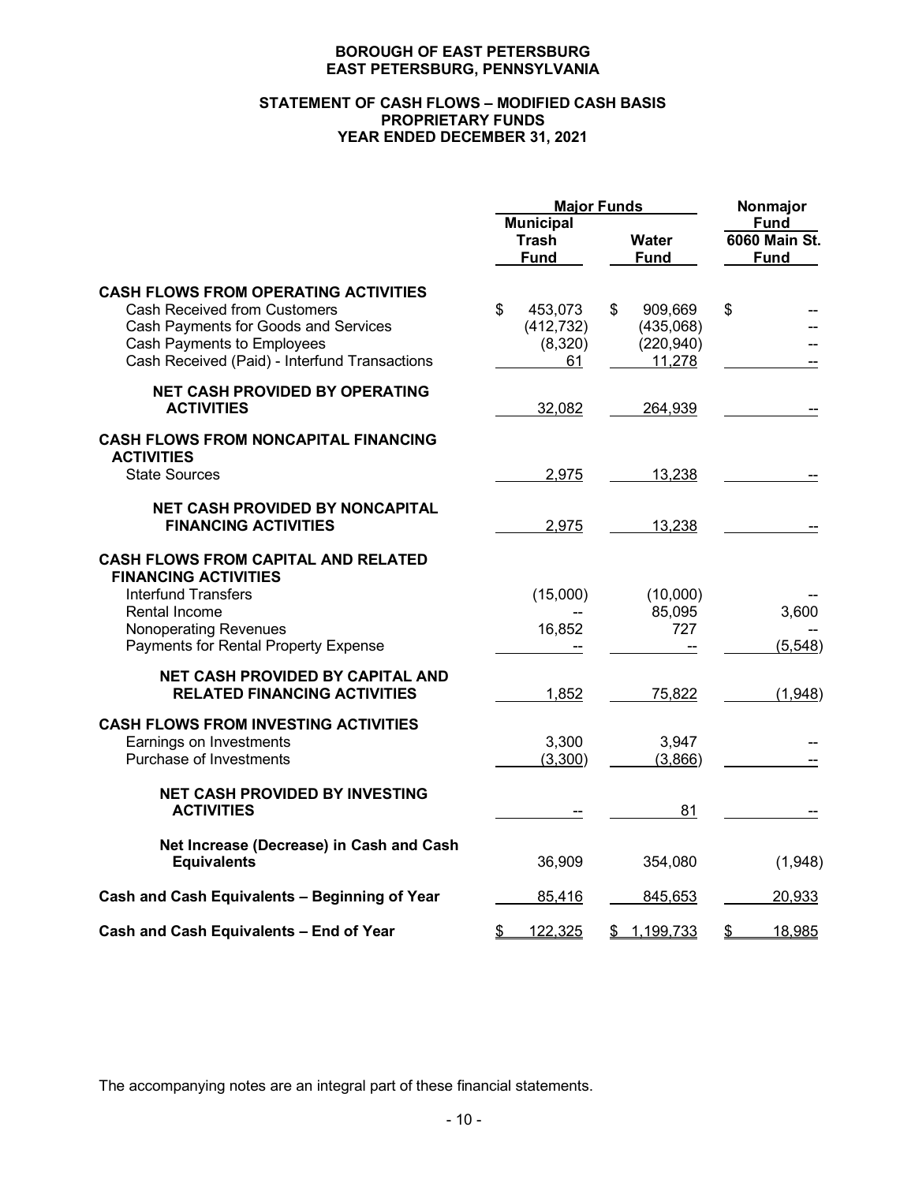### **STATEMENT OF CASH FLOWS – MODIFIED CASH BASIS PROPRIETARY FUNDS YEAR ENDED DECEMBER 31, 2021**

|                                                                                                                                                                                                           | <b>Major Funds</b>                           | Nonmajor |                                              |    |                                             |
|-----------------------------------------------------------------------------------------------------------------------------------------------------------------------------------------------------------|----------------------------------------------|----------|----------------------------------------------|----|---------------------------------------------|
|                                                                                                                                                                                                           | Municipal<br><b>Trash</b><br><b>Fund</b>     |          | Water<br><b>Fund</b>                         |    | <b>Fund</b><br>6060 Main St.<br><b>Fund</b> |
| <b>CASH FLOWS FROM OPERATING ACTIVITIES</b><br><b>Cash Received from Customers</b><br>Cash Payments for Goods and Services<br>Cash Payments to Employees<br>Cash Received (Paid) - Interfund Transactions | \$<br>453,073<br>(412, 732)<br>(8,320)<br>61 | \$       | 909,669<br>(435,068)<br>(220, 940)<br>11,278 | \$ |                                             |
| <b>NET CASH PROVIDED BY OPERATING</b><br><b>ACTIVITIES</b>                                                                                                                                                | 32,082                                       |          | 264,939                                      |    |                                             |
| <b>CASH FLOWS FROM NONCAPITAL FINANCING</b><br><b>ACTIVITIES</b><br><b>State Sources</b>                                                                                                                  | 2,975                                        |          | 13,238                                       |    |                                             |
| NET CASH PROVIDED BY NONCAPITAL<br><b>FINANCING ACTIVITIES</b>                                                                                                                                            | 2,975                                        |          | 13,238                                       |    |                                             |
| <b>CASH FLOWS FROM CAPITAL AND RELATED</b><br><b>FINANCING ACTIVITIES</b><br><b>Interfund Transfers</b><br>Rental Income<br><b>Nonoperating Revenues</b><br>Payments for Rental Property Expense          | (15,000)<br>16,852                           |          | (10,000)<br>85,095<br>727                    |    | 3,600<br>(5, 548)                           |
| <b>NET CASH PROVIDED BY CAPITAL AND</b><br><b>RELATED FINANCING ACTIVITIES</b>                                                                                                                            | 1,852                                        |          | 75,822                                       |    | (1,948)                                     |
| <b>CASH FLOWS FROM INVESTING ACTIVITIES</b><br>Earnings on Investments<br>Purchase of Investments                                                                                                         | 3,300<br>(3,300)                             |          | 3,947<br>(3,866)                             |    |                                             |
| <b>NET CASH PROVIDED BY INVESTING</b><br><b>ACTIVITIES</b>                                                                                                                                                |                                              |          | 81                                           |    |                                             |
| Net Increase (Decrease) in Cash and Cash<br><b>Equivalents</b>                                                                                                                                            | 36,909                                       |          | 354,080                                      |    | (1,948)                                     |
| Cash and Cash Equivalents - Beginning of Year                                                                                                                                                             | 85,416                                       |          | 845,653                                      |    | 20,933                                      |
| Cash and Cash Equivalents - End of Year                                                                                                                                                                   | \$<br>122,325                                | \$.      | 1,199,733                                    | \$ | 18,985                                      |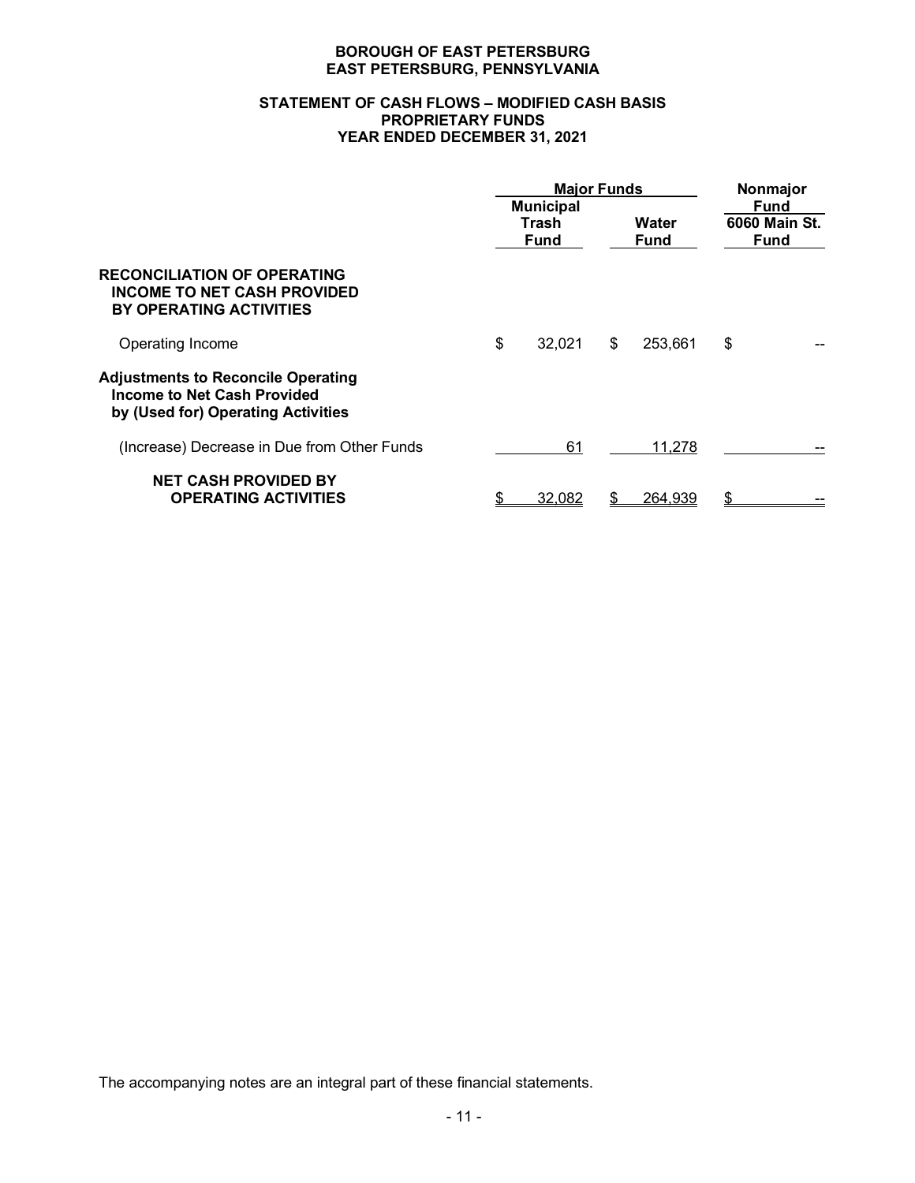#### **STATEMENT OF CASH FLOWS – MODIFIED CASH BASIS PROPRIETARY FUNDS YEAR ENDED DECEMBER 31, 2021**

|                                                                                                                |    | <b>Major Funds</b>                       |    | Nonmajor             |                                             |  |
|----------------------------------------------------------------------------------------------------------------|----|------------------------------------------|----|----------------------|---------------------------------------------|--|
|                                                                                                                |    | <b>Municipal</b><br>Trash<br><b>Fund</b> |    | Water<br><b>Fund</b> | <b>Fund</b><br>6060 Main St.<br><b>Fund</b> |  |
| <b>RECONCILIATION OF OPERATING</b><br><b>INCOME TO NET CASH PROVIDED</b><br>BY OPERATING ACTIVITIES            |    |                                          |    |                      |                                             |  |
| Operating Income                                                                                               | \$ | 32,021                                   | \$ | 253,661              | \$                                          |  |
| <b>Adjustments to Reconcile Operating</b><br>Income to Net Cash Provided<br>by (Used for) Operating Activities |    |                                          |    |                      |                                             |  |
| (Increase) Decrease in Due from Other Funds                                                                    |    | 61                                       |    | 11,278               |                                             |  |
| <b>NET CASH PROVIDED BY</b><br><b>OPERATING ACTIVITIES</b>                                                     |    | 32.082                                   |    | 264.939              |                                             |  |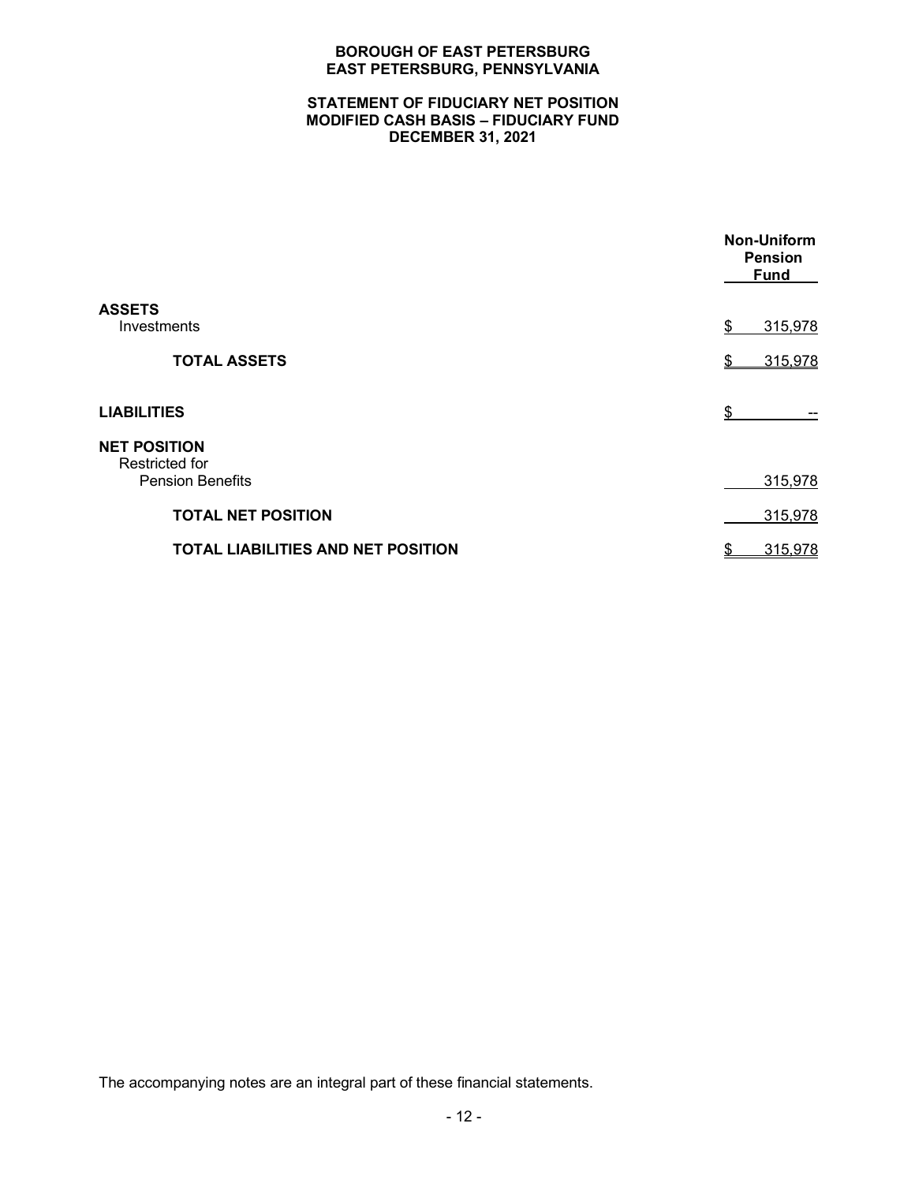### **STATEMENT OF FIDUCIARY NET POSITION MODIFIED CASH BASIS – FIDUCIARY FUND DECEMBER 31, 2021**

|                                           | <b>Non-Uniform</b><br><b>Pension</b><br><b>Fund</b> |
|-------------------------------------------|-----------------------------------------------------|
| <b>ASSETS</b>                             |                                                     |
| Investments                               | 315,978<br>\$                                       |
| <b>TOTAL ASSETS</b>                       | 315,978                                             |
| <b>LIABILITIES</b>                        | \$                                                  |
| <b>NET POSITION</b><br>Restricted for     |                                                     |
| <b>Pension Benefits</b>                   | 315,978                                             |
| <b>TOTAL NET POSITION</b>                 | 315,978                                             |
| <b>TOTAL LIABILITIES AND NET POSITION</b> | 315,978                                             |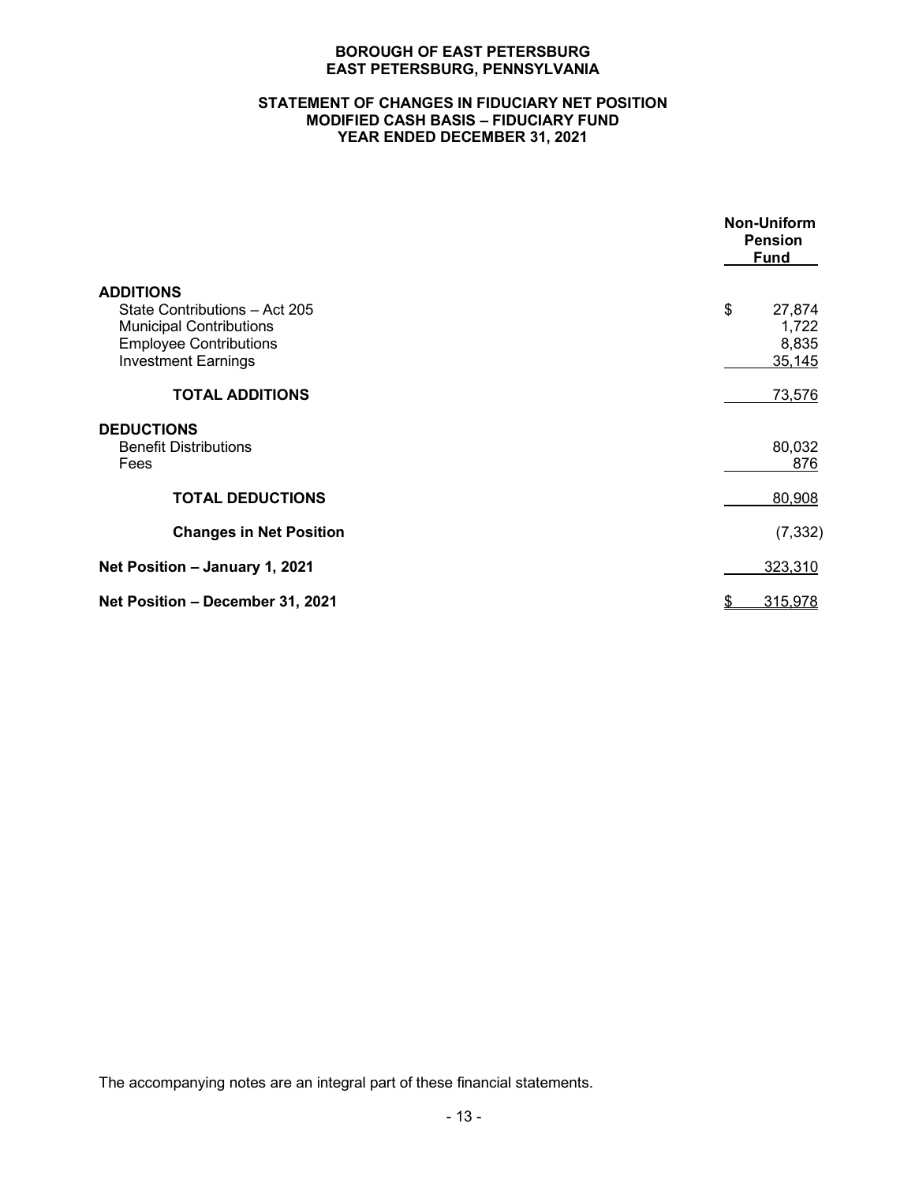### **STATEMENT OF CHANGES IN FIDUCIARY NET POSITION MODIFIED CASH BASIS – FIDUCIARY FUND YEAR ENDED DECEMBER 31, 2021**

|                                                                                                                                                    | <b>Non-Uniform</b><br><b>Pension</b><br><b>Fund</b> |
|----------------------------------------------------------------------------------------------------------------------------------------------------|-----------------------------------------------------|
| <b>ADDITIONS</b><br>State Contributions - Act 205<br><b>Municipal Contributions</b><br><b>Employee Contributions</b><br><b>Investment Earnings</b> | \$<br>27,874<br>1,722<br>8,835<br>35,145            |
| <b>TOTAL ADDITIONS</b>                                                                                                                             | 73,576                                              |
| <b>DEDUCTIONS</b><br><b>Benefit Distributions</b><br>Fees                                                                                          | 80,032<br>876                                       |
| <b>TOTAL DEDUCTIONS</b>                                                                                                                            | 80,908                                              |
| <b>Changes in Net Position</b>                                                                                                                     | (7, 332)                                            |
| Net Position - January 1, 2021                                                                                                                     | 323,310                                             |
| Net Position - December 31, 2021                                                                                                                   | 315,978<br>S                                        |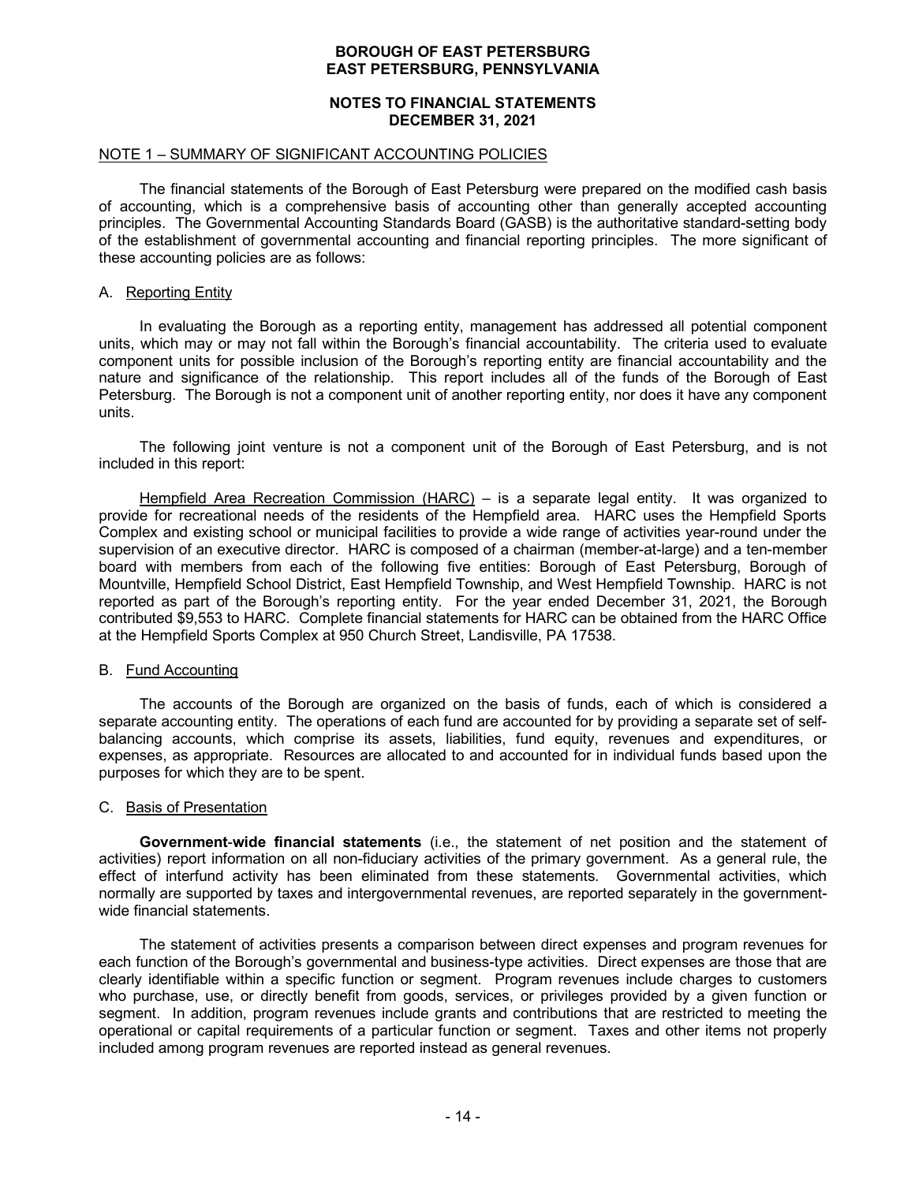### **NOTES TO FINANCIAL STATEMENTS DECEMBER 31, 2021**

#### NOTE 1 – SUMMARY OF SIGNIFICANT ACCOUNTING POLICIES

 The financial statements of the Borough of East Petersburg were prepared on the modified cash basis of accounting, which is a comprehensive basis of accounting other than generally accepted accounting principles. The Governmental Accounting Standards Board (GASB) is the authoritative standard-setting body of the establishment of governmental accounting and financial reporting principles. The more significant of these accounting policies are as follows:

#### A. Reporting Entity

 In evaluating the Borough as a reporting entity, management has addressed all potential component units, which may or may not fall within the Borough's financial accountability. The criteria used to evaluate component units for possible inclusion of the Borough's reporting entity are financial accountability and the nature and significance of the relationship. This report includes all of the funds of the Borough of East Petersburg. The Borough is not a component unit of another reporting entity, nor does it have any component units.

 The following joint venture is not a component unit of the Borough of East Petersburg, and is not included in this report:

Hempfield Area Recreation Commission (HARC) – is a separate legal entity. It was organized to provide for recreational needs of the residents of the Hempfield area. HARC uses the Hempfield Sports Complex and existing school or municipal facilities to provide a wide range of activities year-round under the supervision of an executive director. HARC is composed of a chairman (member-at-large) and a ten-member board with members from each of the following five entities: Borough of East Petersburg, Borough of Mountville, Hempfield School District, East Hempfield Township, and West Hempfield Township. HARC is not reported as part of the Borough's reporting entity. For the year ended December 31, 2021, the Borough contributed \$9,553 to HARC. Complete financial statements for HARC can be obtained from the HARC Office at the Hempfield Sports Complex at 950 Church Street, Landisville, PA 17538.

### B. Fund Accounting

 The accounts of the Borough are organized on the basis of funds, each of which is considered a separate accounting entity. The operations of each fund are accounted for by providing a separate set of selfbalancing accounts, which comprise its assets, liabilities, fund equity, revenues and expenditures, or expenses, as appropriate. Resources are allocated to and accounted for in individual funds based upon the purposes for which they are to be spent.

### C. Basis of Presentation

 **Government**-**wide financial statements** (i.e., the statement of net position and the statement of activities) report information on all non-fiduciary activities of the primary government. As a general rule, the effect of interfund activity has been eliminated from these statements. Governmental activities, which normally are supported by taxes and intergovernmental revenues, are reported separately in the governmentwide financial statements.

 The statement of activities presents a comparison between direct expenses and program revenues for each function of the Borough's governmental and business-type activities. Direct expenses are those that are clearly identifiable within a specific function or segment. Program revenues include charges to customers who purchase, use, or directly benefit from goods, services, or privileges provided by a given function or segment. In addition, program revenues include grants and contributions that are restricted to meeting the operational or capital requirements of a particular function or segment. Taxes and other items not properly included among program revenues are reported instead as general revenues.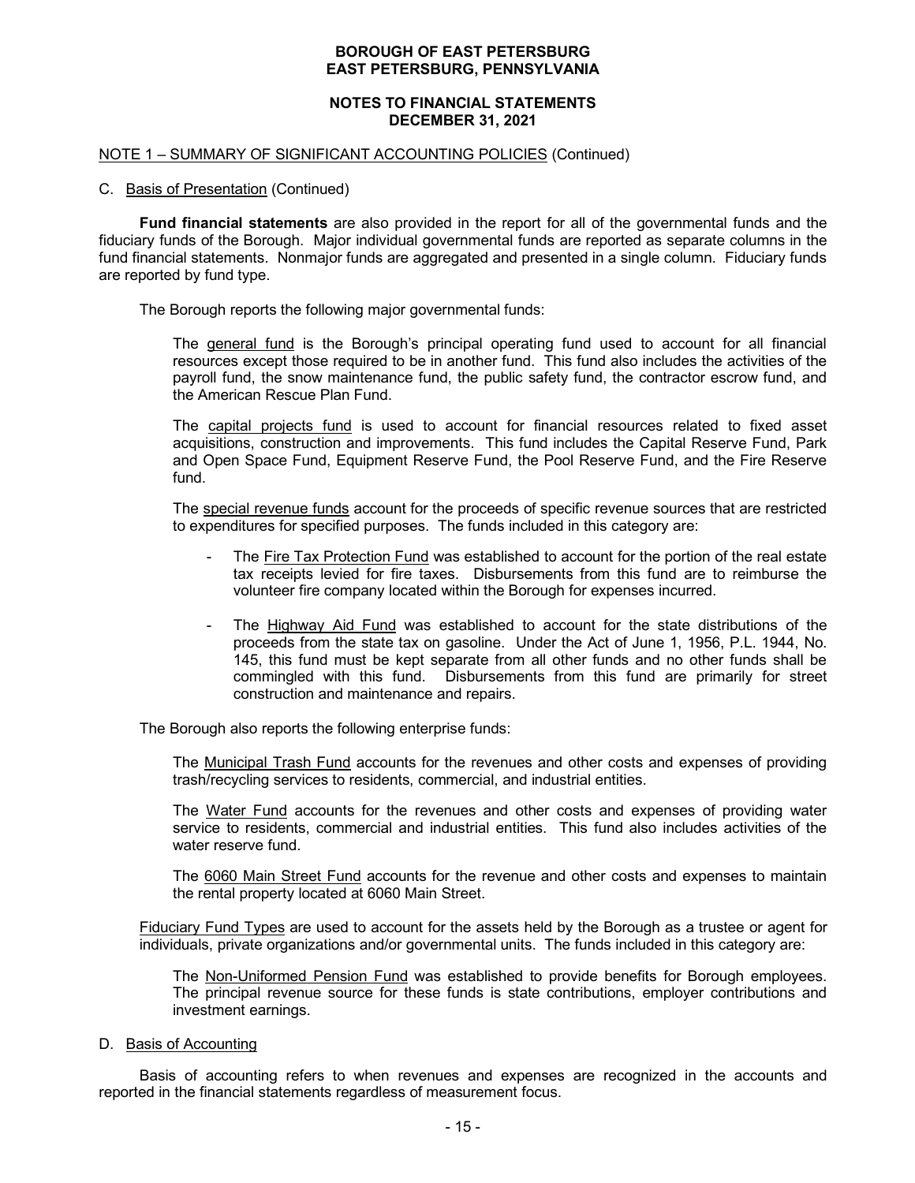### **NOTES TO FINANCIAL STATEMENTS DECEMBER 31, 2021**

### NOTE 1 – SUMMARY OF SIGNIFICANT ACCOUNTING POLICIES (Continued)

#### C. Basis of Presentation (Continued)

**Fund financial statements** are also provided in the report for all of the governmental funds and the fiduciary funds of the Borough. Major individual governmental funds are reported as separate columns in the fund financial statements. Nonmajor funds are aggregated and presented in a single column. Fiduciary funds are reported by fund type.

The Borough reports the following major governmental funds:

The general fund is the Borough's principal operating fund used to account for all financial resources except those required to be in another fund. This fund also includes the activities of the payroll fund, the snow maintenance fund, the public safety fund, the contractor escrow fund, and the American Rescue Plan Fund.

The capital projects fund is used to account for financial resources related to fixed asset acquisitions, construction and improvements. This fund includes the Capital Reserve Fund, Park and Open Space Fund, Equipment Reserve Fund, the Pool Reserve Fund, and the Fire Reserve fund.

The special revenue funds account for the proceeds of specific revenue sources that are restricted to expenditures for specified purposes. The funds included in this category are:

- The Fire Tax Protection Fund was established to account for the portion of the real estate tax receipts levied for fire taxes. Disbursements from this fund are to reimburse the volunteer fire company located within the Borough for expenses incurred.
- The Highway Aid Fund was established to account for the state distributions of the proceeds from the state tax on gasoline. Under the Act of June 1, 1956, P.L. 1944, No. 145, this fund must be kept separate from all other funds and no other funds shall be commingled with this fund. Disbursements from this fund are primarily for street construction and maintenance and repairs.

The Borough also reports the following enterprise funds:

The Municipal Trash Fund accounts for the revenues and other costs and expenses of providing trash/recycling services to residents, commercial, and industrial entities.

The Water Fund accounts for the revenues and other costs and expenses of providing water service to residents, commercial and industrial entities. This fund also includes activities of the water reserve fund.

The 6060 Main Street Fund accounts for the revenue and other costs and expenses to maintain the rental property located at 6060 Main Street.

Fiduciary Fund Types are used to account for the assets held by the Borough as a trustee or agent for individuals, private organizations and/or governmental units. The funds included in this category are:

The Non-Uniformed Pension Fund was established to provide benefits for Borough employees. The principal revenue source for these funds is state contributions, employer contributions and investment earnings.

D. Basis of Accounting

 Basis of accounting refers to when revenues and expenses are recognized in the accounts and reported in the financial statements regardless of measurement focus.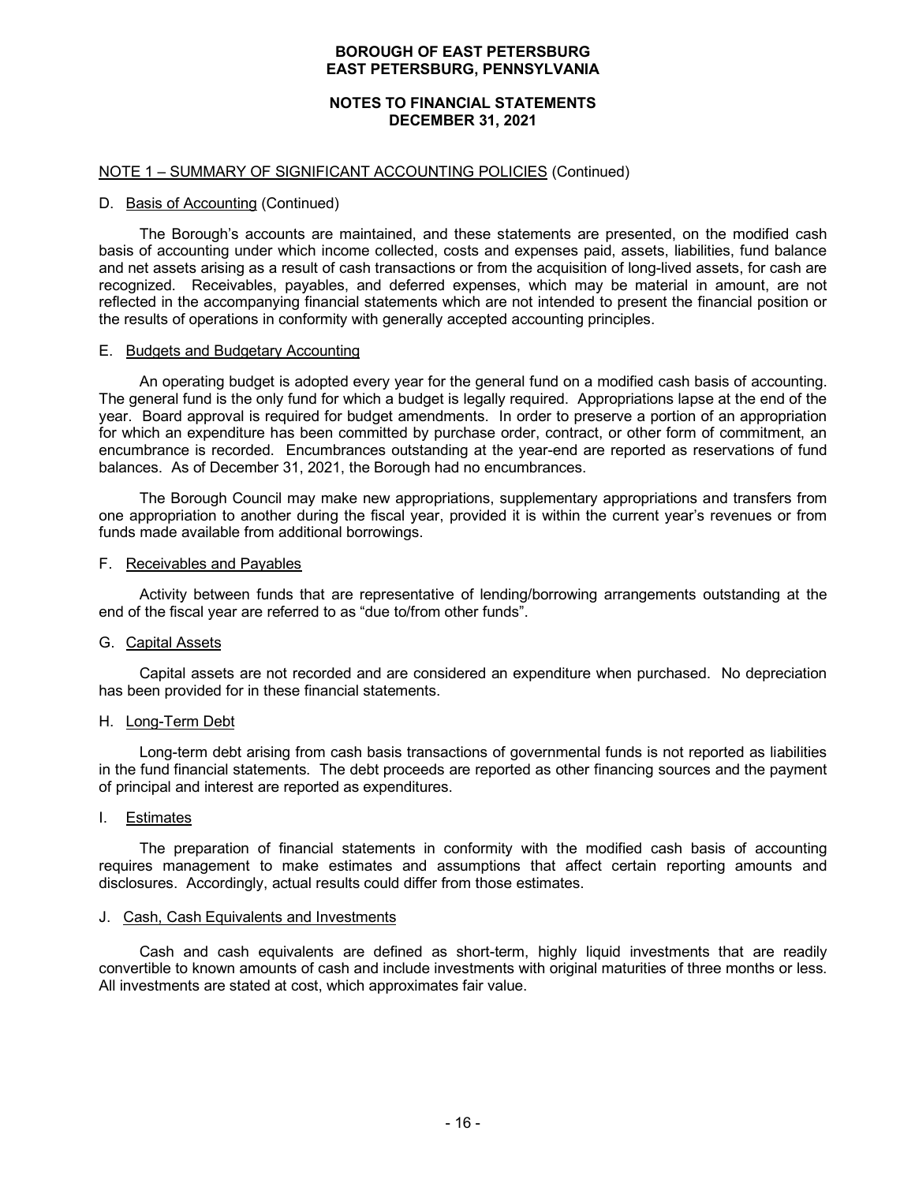### **NOTES TO FINANCIAL STATEMENTS DECEMBER 31, 2021**

#### NOTE 1 – SUMMARY OF SIGNIFICANT ACCOUNTING POLICIES (Continued)

#### D. Basis of Accounting (Continued)

 The Borough's accounts are maintained, and these statements are presented, on the modified cash basis of accounting under which income collected, costs and expenses paid, assets, liabilities, fund balance and net assets arising as a result of cash transactions or from the acquisition of long-lived assets, for cash are recognized. Receivables, payables, and deferred expenses, which may be material in amount, are not reflected in the accompanying financial statements which are not intended to present the financial position or the results of operations in conformity with generally accepted accounting principles.

#### E. Budgets and Budgetary Accounting

 An operating budget is adopted every year for the general fund on a modified cash basis of accounting. The general fund is the only fund for which a budget is legally required. Appropriations lapse at the end of the year. Board approval is required for budget amendments. In order to preserve a portion of an appropriation for which an expenditure has been committed by purchase order, contract, or other form of commitment, an encumbrance is recorded. Encumbrances outstanding at the year-end are reported as reservations of fund balances. As of December 31, 2021, the Borough had no encumbrances.

 The Borough Council may make new appropriations, supplementary appropriations and transfers from one appropriation to another during the fiscal year, provided it is within the current year's revenues or from funds made available from additional borrowings.

#### F. Receivables and Payables

 Activity between funds that are representative of lending/borrowing arrangements outstanding at the end of the fiscal year are referred to as "due to/from other funds".

### G. Capital Assets

 Capital assets are not recorded and are considered an expenditure when purchased. No depreciation has been provided for in these financial statements.

### H. Long-Term Debt

 Long-term debt arising from cash basis transactions of governmental funds is not reported as liabilities in the fund financial statements. The debt proceeds are reported as other financing sources and the payment of principal and interest are reported as expenditures.

### I. Estimates

 The preparation of financial statements in conformity with the modified cash basis of accounting requires management to make estimates and assumptions that affect certain reporting amounts and disclosures. Accordingly, actual results could differ from those estimates.

#### J. Cash, Cash Equivalents and Investments

 Cash and cash equivalents are defined as short-term, highly liquid investments that are readily convertible to known amounts of cash and include investments with original maturities of three months or less. All investments are stated at cost, which approximates fair value.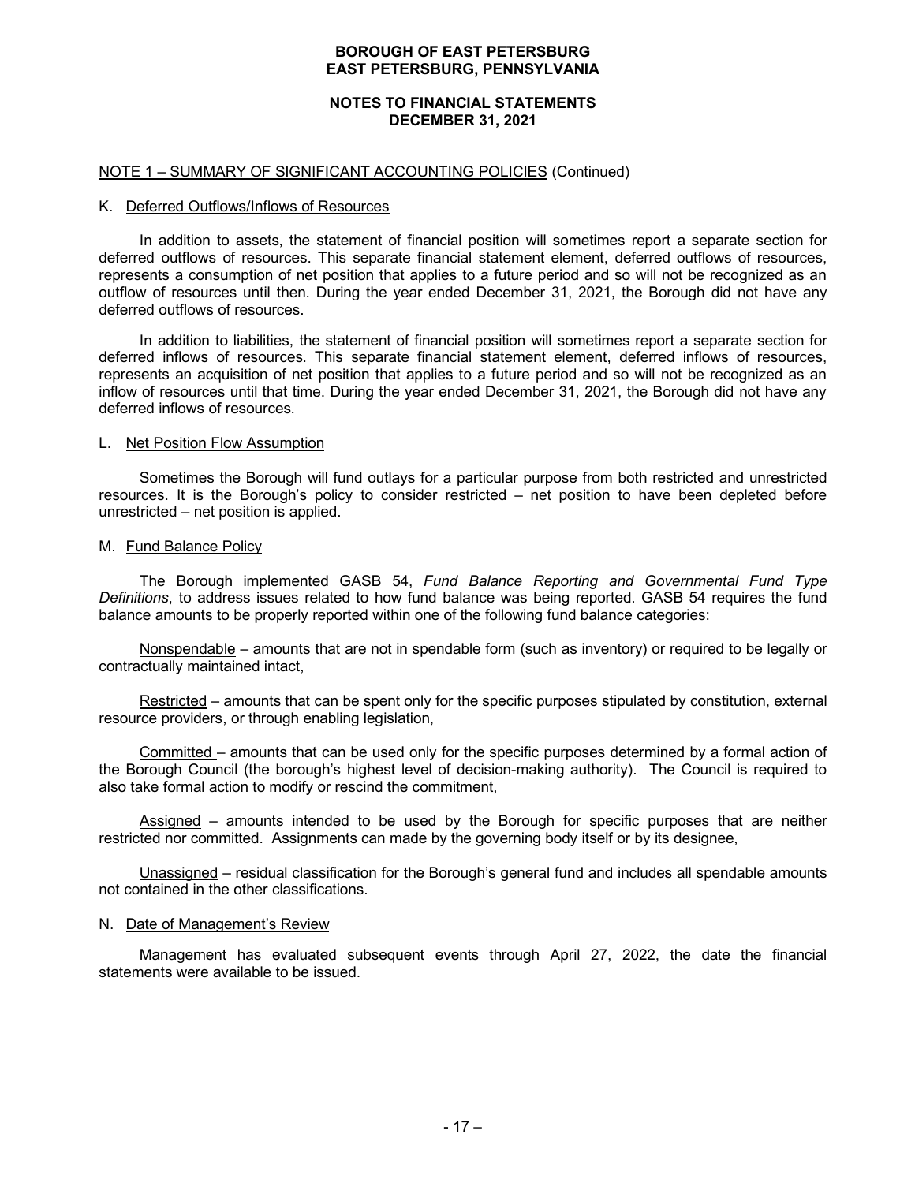### **NOTES TO FINANCIAL STATEMENTS DECEMBER 31, 2021**

#### NOTE 1 – SUMMARY OF SIGNIFICANT ACCOUNTING POLICIES (Continued)

#### K. Deferred Outflows/Inflows of Resources

 In addition to assets, the statement of financial position will sometimes report a separate section for deferred outflows of resources. This separate financial statement element, deferred outflows of resources, represents a consumption of net position that applies to a future period and so will not be recognized as an outflow of resources until then. During the year ended December 31, 2021, the Borough did not have any deferred outflows of resources.

 In addition to liabilities, the statement of financial position will sometimes report a separate section for deferred inflows of resources. This separate financial statement element, deferred inflows of resources, represents an acquisition of net position that applies to a future period and so will not be recognized as an inflow of resources until that time. During the year ended December 31, 2021, the Borough did not have any deferred inflows of resources.

#### L. Net Position Flow Assumption

 Sometimes the Borough will fund outlays for a particular purpose from both restricted and unrestricted resources. It is the Borough's policy to consider restricted – net position to have been depleted before unrestricted – net position is applied.

#### M. Fund Balance Policy

 The Borough implemented GASB 54, *Fund Balance Reporting and Governmental Fund Type Definitions*, to address issues related to how fund balance was being reported. GASB 54 requires the fund balance amounts to be properly reported within one of the following fund balance categories:

 Nonspendable – amounts that are not in spendable form (such as inventory) or required to be legally or contractually maintained intact,

 Restricted – amounts that can be spent only for the specific purposes stipulated by constitution, external resource providers, or through enabling legislation.

 Committed – amounts that can be used only for the specific purposes determined by a formal action of the Borough Council (the borough's highest level of decision-making authority). The Council is required to also take formal action to modify or rescind the commitment,

Assigned – amounts intended to be used by the Borough for specific purposes that are neither restricted nor committed. Assignments can made by the governing body itself or by its designee,

 Unassigned – residual classification for the Borough's general fund and includes all spendable amounts not contained in the other classifications.

#### N. Date of Management's Review

 Management has evaluated subsequent events through April 27, 2022, the date the financial statements were available to be issued.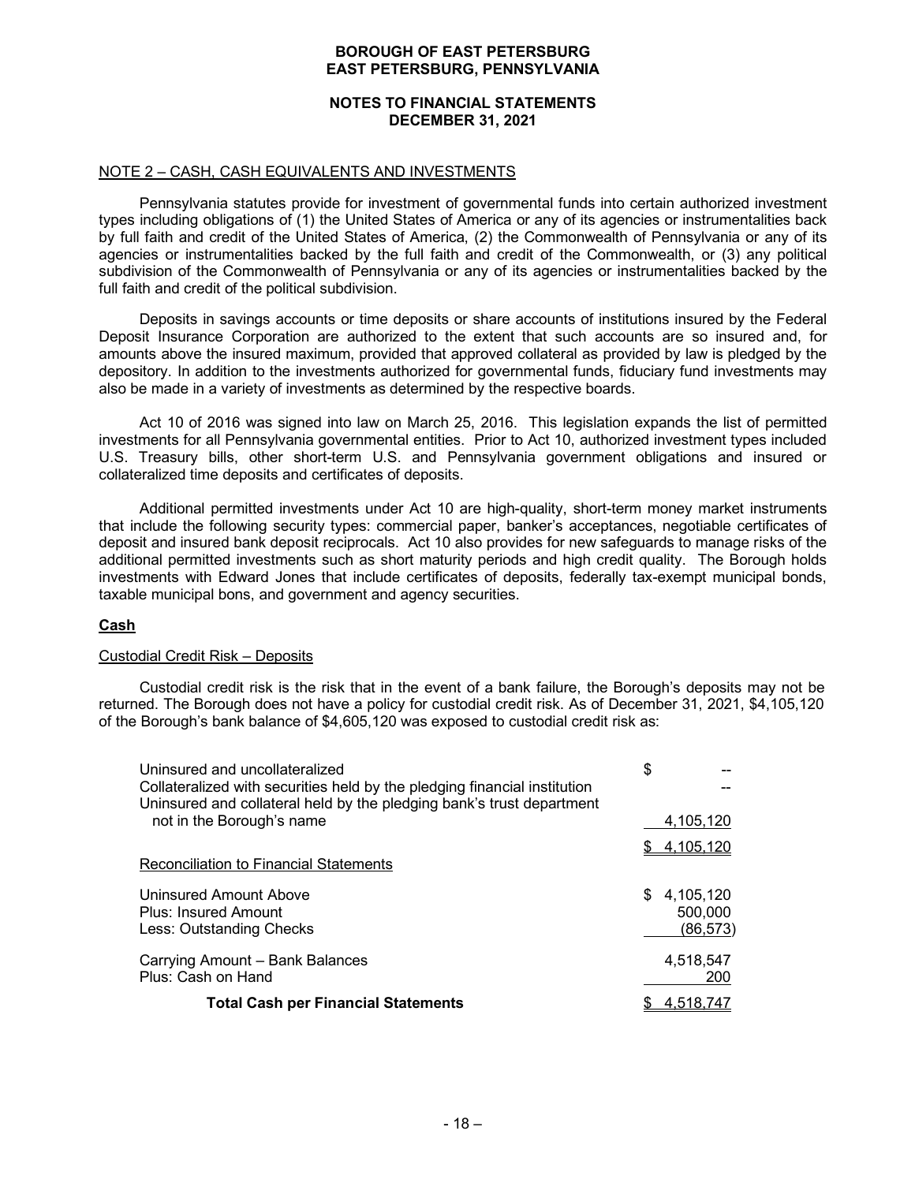### **NOTES TO FINANCIAL STATEMENTS DECEMBER 31, 2021**

#### NOTE 2 – CASH, CASH EQUIVALENTS AND INVESTMENTS

 Pennsylvania statutes provide for investment of governmental funds into certain authorized investment types including obligations of (1) the United States of America or any of its agencies or instrumentalities back by full faith and credit of the United States of America, (2) the Commonwealth of Pennsylvania or any of its agencies or instrumentalities backed by the full faith and credit of the Commonwealth, or (3) any political subdivision of the Commonwealth of Pennsylvania or any of its agencies or instrumentalities backed by the full faith and credit of the political subdivision.

 Deposits in savings accounts or time deposits or share accounts of institutions insured by the Federal Deposit Insurance Corporation are authorized to the extent that such accounts are so insured and, for amounts above the insured maximum, provided that approved collateral as provided by law is pledged by the depository. In addition to the investments authorized for governmental funds, fiduciary fund investments may also be made in a variety of investments as determined by the respective boards.

 Act 10 of 2016 was signed into law on March 25, 2016. This legislation expands the list of permitted investments for all Pennsylvania governmental entities. Prior to Act 10, authorized investment types included U.S. Treasury bills, other short-term U.S. and Pennsylvania government obligations and insured or collateralized time deposits and certificates of deposits.

 Additional permitted investments under Act 10 are high-quality, short-term money market instruments that include the following security types: commercial paper, banker's acceptances, negotiable certificates of deposit and insured bank deposit reciprocals. Act 10 also provides for new safeguards to manage risks of the additional permitted investments such as short maturity periods and high credit quality. The Borough holds investments with Edward Jones that include certificates of deposits, federally tax-exempt municipal bonds, taxable municipal bons, and government and agency securities.

### **Cash**

### Custodial Credit Risk – Deposits

 Custodial credit risk is the risk that in the event of a bank failure, the Borough's deposits may not be returned. The Borough does not have a policy for custodial credit risk. As of December 31, 2021, \$4,105,120 of the Borough's bank balance of \$4,605,120 was exposed to custodial credit risk as:

| Uninsured and uncollateralized                                            | \$        |
|---------------------------------------------------------------------------|-----------|
| Collateralized with securities held by the pledging financial institution |           |
| Uninsured and collateral held by the pledging bank's trust department     |           |
| not in the Borough's name                                                 | 4,105,120 |
|                                                                           | 4.105.120 |
| Reconciliation to Financial Statements                                    |           |
| Uninsured Amount Above                                                    | 4,105,120 |
| Plus: Insured Amount                                                      | 500,000   |
| Less: Outstanding Checks                                                  | (86,573)  |
| Carrying Amount - Bank Balances                                           | 4,518,547 |
| Plus: Cash on Hand                                                        | 200       |
| <b>Total Cash per Financial Statements</b>                                | 4.518.74  |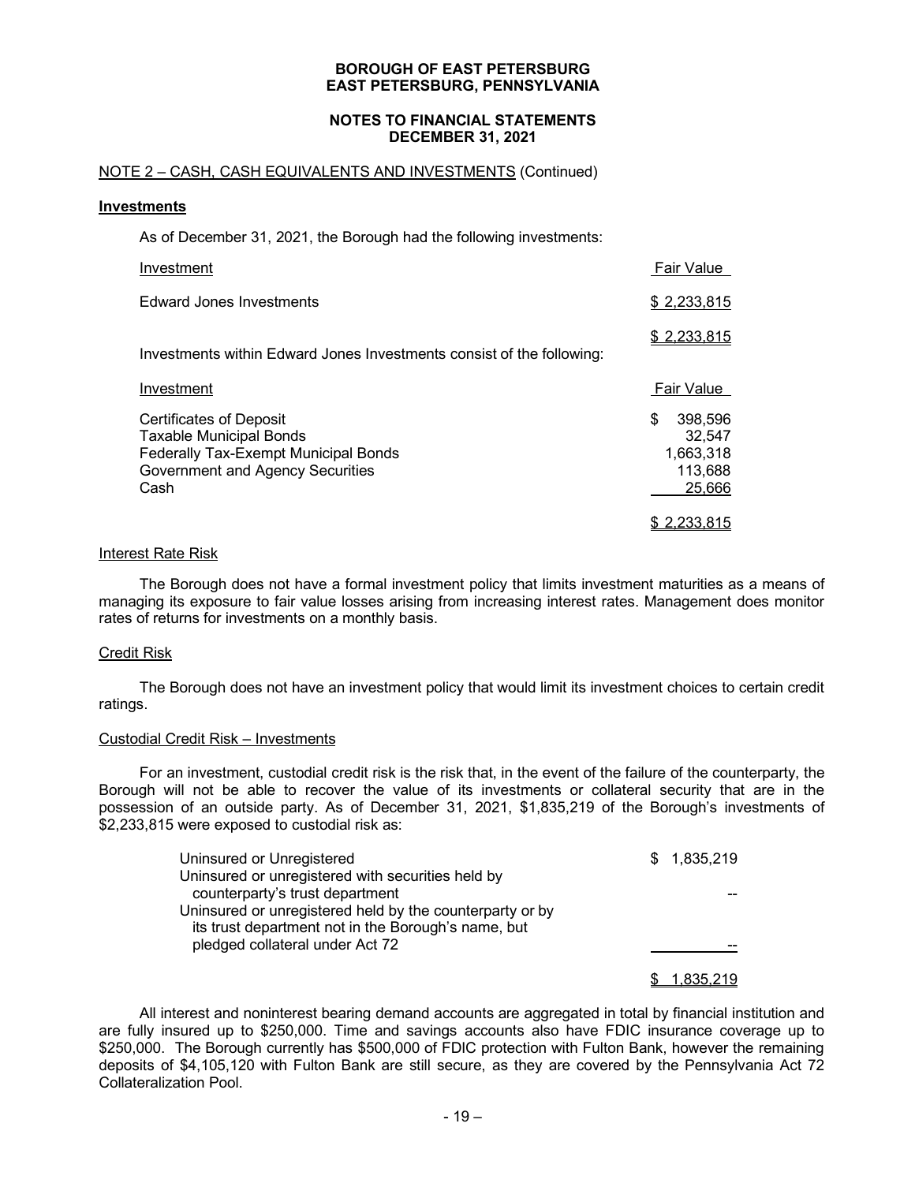#### **NOTES TO FINANCIAL STATEMENTS DECEMBER 31, 2021**

### NOTE 2 – CASH, CASH EQUIVALENTS AND INVESTMENTS (Continued)

#### **Investments**

As of December 31, 2021, the Borough had the following investments:

| Investment                                                                                                                                           | <b>Fair Value</b>                                         |
|------------------------------------------------------------------------------------------------------------------------------------------------------|-----------------------------------------------------------|
| Edward Jones Investments                                                                                                                             | \$2,233,815                                               |
| Investments within Edward Jones Investments consist of the following:                                                                                | \$2.233.815                                               |
| Investment                                                                                                                                           | Fair Value                                                |
| <b>Certificates of Deposit</b><br><b>Taxable Municipal Bonds</b><br>Federally Tax-Exempt Municipal Bonds<br>Government and Agency Securities<br>Cash | \$<br>398,596<br>32,547<br>1,663,318<br>113,688<br>25.666 |
|                                                                                                                                                      | 233.815                                                   |

#### Interest Rate Risk

 The Borough does not have a formal investment policy that limits investment maturities as a means of managing its exposure to fair value losses arising from increasing interest rates. Management does monitor rates of returns for investments on a monthly basis.

### Credit Risk

 The Borough does not have an investment policy that would limit its investment choices to certain credit ratings.

#### Custodial Credit Risk – Investments

 For an investment, custodial credit risk is the risk that, in the event of the failure of the counterparty, the Borough will not be able to recover the value of its investments or collateral security that are in the possession of an outside party. As of December 31, 2021, \$1,835,219 of the Borough's investments of \$2,233,815 were exposed to custodial risk as:

| Uninsured or Unregistered                                                                                       | \$1,835,219 |
|-----------------------------------------------------------------------------------------------------------------|-------------|
| Uninsured or unregistered with securities held by<br>counterparty's trust department                            |             |
| Uninsured or unregistered held by the counterparty or by<br>its trust department not in the Borough's name, but |             |
| pledged collateral under Act 72                                                                                 |             |
|                                                                                                                 | 1.835.219   |

 All interest and noninterest bearing demand accounts are aggregated in total by financial institution and are fully insured up to \$250,000. Time and savings accounts also have FDIC insurance coverage up to \$250,000. The Borough currently has \$500,000 of FDIC protection with Fulton Bank, however the remaining deposits of \$4,105,120 with Fulton Bank are still secure, as they are covered by the Pennsylvania Act 72 Collateralization Pool.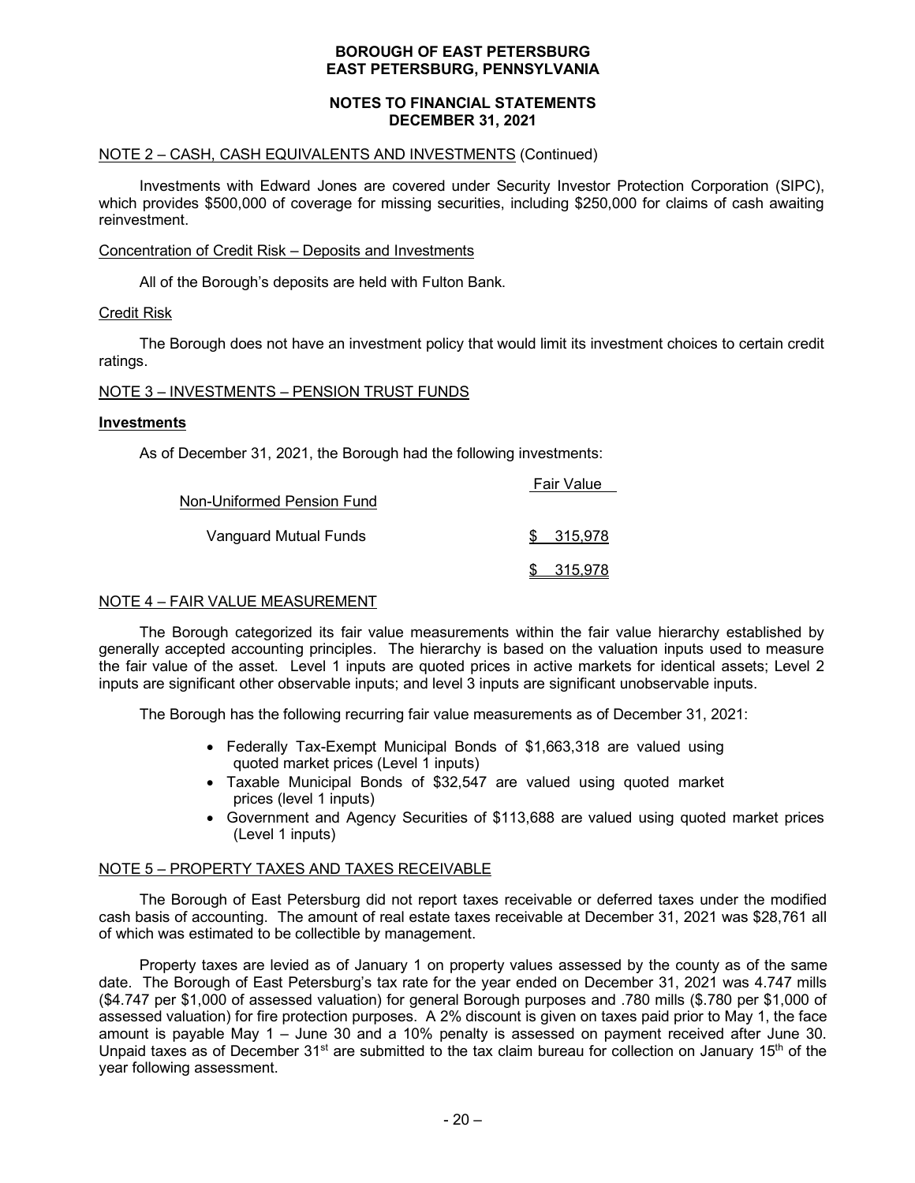### **NOTES TO FINANCIAL STATEMENTS DECEMBER 31, 2021**

### NOTE 2 – CASH, CASH EQUIVALENTS AND INVESTMENTS (Continued)

 Investments with Edward Jones are covered under Security Investor Protection Corporation (SIPC), which provides \$500,000 of coverage for missing securities, including \$250,000 for claims of cash awaiting reinvestment.

### Concentration of Credit Risk – Deposits and Investments

All of the Borough's deposits are held with Fulton Bank.

### Credit Risk

 The Borough does not have an investment policy that would limit its investment choices to certain credit ratings.

### NOTE 3 – INVESTMENTS – PENSION TRUST FUNDS

### **Investments**

As of December 31, 2021, the Borough had the following investments:

|                            | <b>Fair Value</b> |
|----------------------------|-------------------|
| Non-Uniformed Pension Fund |                   |
| Vanguard Mutual Funds      | \$ 315,978        |
|                            | \$ 315.978        |

### NOTE 4 – FAIR VALUE MEASUREMENT

 The Borough categorized its fair value measurements within the fair value hierarchy established by generally accepted accounting principles. The hierarchy is based on the valuation inputs used to measure the fair value of the asset. Level 1 inputs are quoted prices in active markets for identical assets; Level 2 inputs are significant other observable inputs; and level 3 inputs are significant unobservable inputs.

The Borough has the following recurring fair value measurements as of December 31, 2021:

- Federally Tax-Exempt Municipal Bonds of \$1,663,318 are valued using quoted market prices (Level 1 inputs)
- Taxable Municipal Bonds of \$32,547 are valued using quoted market prices (level 1 inputs)
- Government and Agency Securities of \$113,688 are valued using quoted market prices (Level 1 inputs)

### NOTE 5 – PROPERTY TAXES AND TAXES RECEIVABLE

 The Borough of East Petersburg did not report taxes receivable or deferred taxes under the modified cash basis of accounting. The amount of real estate taxes receivable at December 31, 2021 was \$28,761 all of which was estimated to be collectible by management.

 Property taxes are levied as of January 1 on property values assessed by the county as of the same date. The Borough of East Petersburg's tax rate for the year ended on December 31, 2021 was 4.747 mills (\$4.747 per \$1,000 of assessed valuation) for general Borough purposes and .780 mills (\$.780 per \$1,000 of assessed valuation) for fire protection purposes. A 2% discount is given on taxes paid prior to May 1, the face amount is payable May 1 – June 30 and a 10% penalty is assessed on payment received after June 30. Unpaid taxes as of December 31<sup>st</sup> are submitted to the tax claim bureau for collection on January 15<sup>th</sup> of the year following assessment.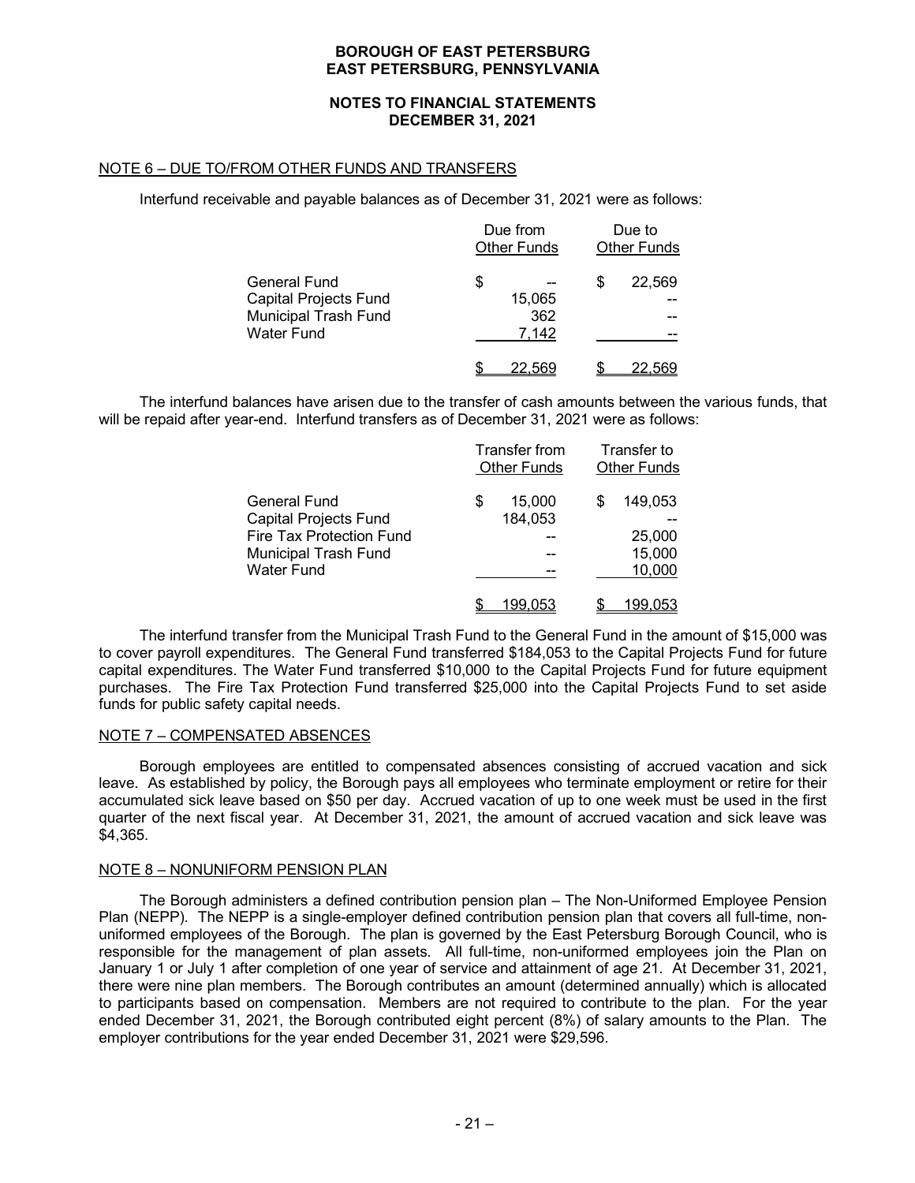### **NOTES TO FINANCIAL STATEMENTS DECEMBER 31, 2021**

### NOTE 6 – DUE TO/FROM OTHER FUNDS AND TRANSFERS

Interfund receivable and payable balances as of December 31, 2021 were as follows:

|                                                                                                  | Due from<br><b>Other Funds</b> | Due to<br><b>Other Funds</b> |
|--------------------------------------------------------------------------------------------------|--------------------------------|------------------------------|
| General Fund<br><b>Capital Projects Fund</b><br><b>Municipal Trash Fund</b><br><b>Water Fund</b> | \$<br>15,065<br>362<br>7,142   | 22,569<br>S                  |
|                                                                                                  | 22.569                         |                              |

 The interfund balances have arisen due to the transfer of cash amounts between the various funds, that will be repaid after year-end. Interfund transfers as of December 31, 2021 were as follows:

|                                 | Transfer from<br><b>Other Funds</b> | Transfer to<br><b>Other Funds</b> |  |  |
|---------------------------------|-------------------------------------|-----------------------------------|--|--|
| General Fund                    | 15.000<br>\$                        | 149,053                           |  |  |
| <b>Capital Projects Fund</b>    | 184,053                             |                                   |  |  |
| <b>Fire Tax Protection Fund</b> |                                     | 25,000                            |  |  |
| <b>Municipal Trash Fund</b>     |                                     | 15,000                            |  |  |
| <b>Water Fund</b>               |                                     | 10,000                            |  |  |
|                                 | 199,053                             | <u>199,053</u>                    |  |  |

 The interfund transfer from the Municipal Trash Fund to the General Fund in the amount of \$15,000 was to cover payroll expenditures. The General Fund transferred \$184,053 to the Capital Projects Fund for future capital expenditures. The Water Fund transferred \$10,000 to the Capital Projects Fund for future equipment purchases. The Fire Tax Protection Fund transferred \$25,000 into the Capital Projects Fund to set aside funds for public safety capital needs.

### NOTE 7 – COMPENSATED ABSENCES

 Borough employees are entitled to compensated absences consisting of accrued vacation and sick leave. As established by policy, the Borough pays all employees who terminate employment or retire for their accumulated sick leave based on \$50 per day. Accrued vacation of up to one week must be used in the first quarter of the next fiscal year. At December 31, 2021, the amount of accrued vacation and sick leave was \$4,365.

### NOTE 8 – NONUNIFORM PENSION PLAN

 The Borough administers a defined contribution pension plan – The Non-Uniformed Employee Pension Plan (NEPP). The NEPP is a single-employer defined contribution pension plan that covers all full-time, nonuniformed employees of the Borough. The plan is governed by the East Petersburg Borough Council, who is responsible for the management of plan assets. All full-time, non-uniformed employees join the Plan on January 1 or July 1 after completion of one year of service and attainment of age 21. At December 31, 2021, there were nine plan members. The Borough contributes an amount (determined annually) which is allocated to participants based on compensation. Members are not required to contribute to the plan. For the year ended December 31, 2021, the Borough contributed eight percent (8%) of salary amounts to the Plan. The employer contributions for the year ended December 31, 2021 were \$29,596.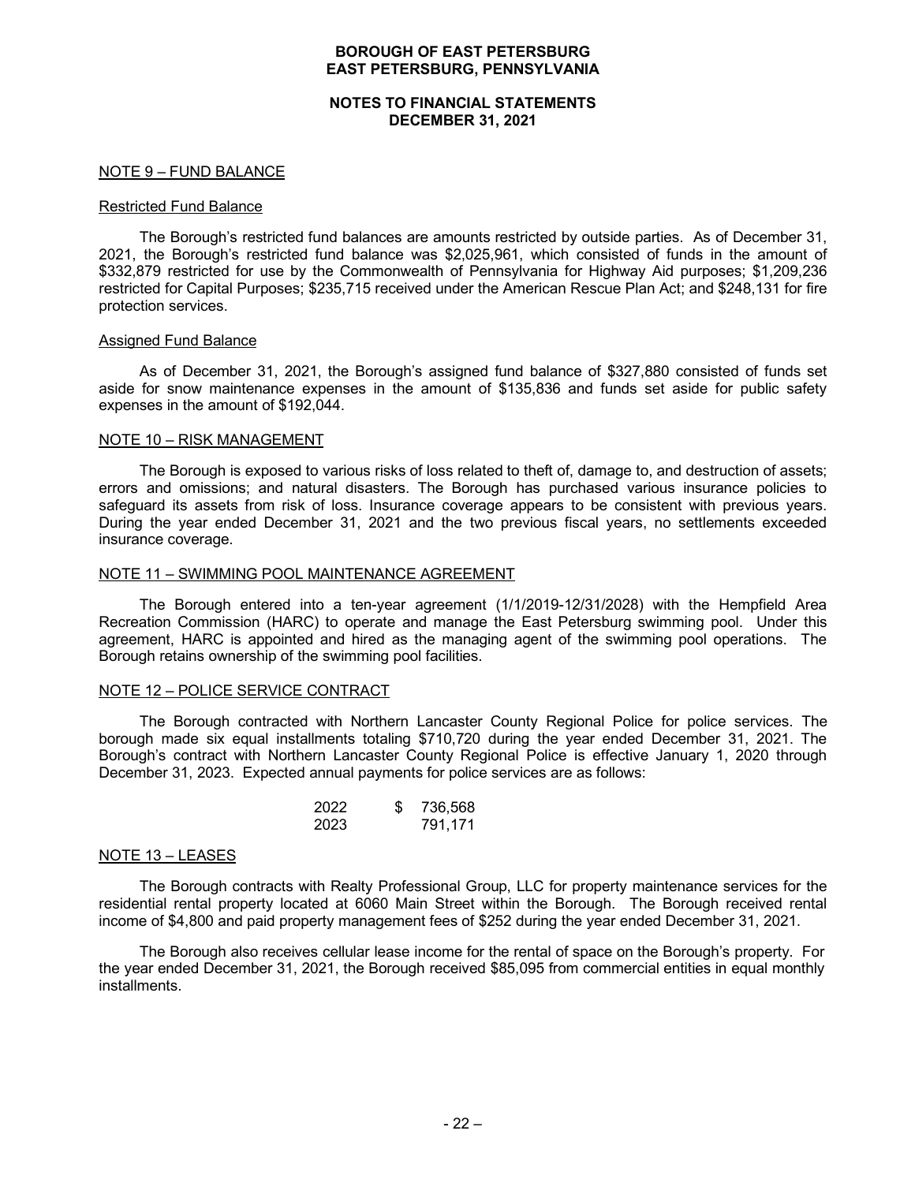#### **NOTES TO FINANCIAL STATEMENTS DECEMBER 31, 2021**

#### NOTE 9 – FUND BALANCE

#### Restricted Fund Balance

 The Borough's restricted fund balances are amounts restricted by outside parties. As of December 31, 2021, the Borough's restricted fund balance was \$2,025,961, which consisted of funds in the amount of \$332,879 restricted for use by the Commonwealth of Pennsylvania for Highway Aid purposes; \$1,209,236 restricted for Capital Purposes; \$235,715 received under the American Rescue Plan Act; and \$248,131 for fire protection services.

#### Assigned Fund Balance

 As of December 31, 2021, the Borough's assigned fund balance of \$327,880 consisted of funds set aside for snow maintenance expenses in the amount of \$135,836 and funds set aside for public safety expenses in the amount of \$192,044.

#### NOTE 10 – RISK MANAGEMENT

 The Borough is exposed to various risks of loss related to theft of, damage to, and destruction of assets; errors and omissions; and natural disasters. The Borough has purchased various insurance policies to safeguard its assets from risk of loss. Insurance coverage appears to be consistent with previous years. During the year ended December 31, 2021 and the two previous fiscal years, no settlements exceeded insurance coverage.

#### NOTE 11 – SWIMMING POOL MAINTENANCE AGREEMENT

 The Borough entered into a ten-year agreement (1/1/2019-12/31/2028) with the Hempfield Area Recreation Commission (HARC) to operate and manage the East Petersburg swimming pool. Under this agreement, HARC is appointed and hired as the managing agent of the swimming pool operations. The Borough retains ownership of the swimming pool facilities.

#### NOTE 12 – POLICE SERVICE CONTRACT

 The Borough contracted with Northern Lancaster County Regional Police for police services. The borough made six equal installments totaling \$710,720 during the year ended December 31, 2021. The Borough's contract with Northern Lancaster County Regional Police is effective January 1, 2020 through December 31, 2023. Expected annual payments for police services are as follows:

| 2022 | \$736,568 |
|------|-----------|
| 2023 | 791,171   |

#### NOTE 13 – LEASES

 The Borough contracts with Realty Professional Group, LLC for property maintenance services for the residential rental property located at 6060 Main Street within the Borough. The Borough received rental income of \$4,800 and paid property management fees of \$252 during the year ended December 31, 2021.

 The Borough also receives cellular lease income for the rental of space on the Borough's property. For the year ended December 31, 2021, the Borough received \$85,095 from commercial entities in equal monthly installments.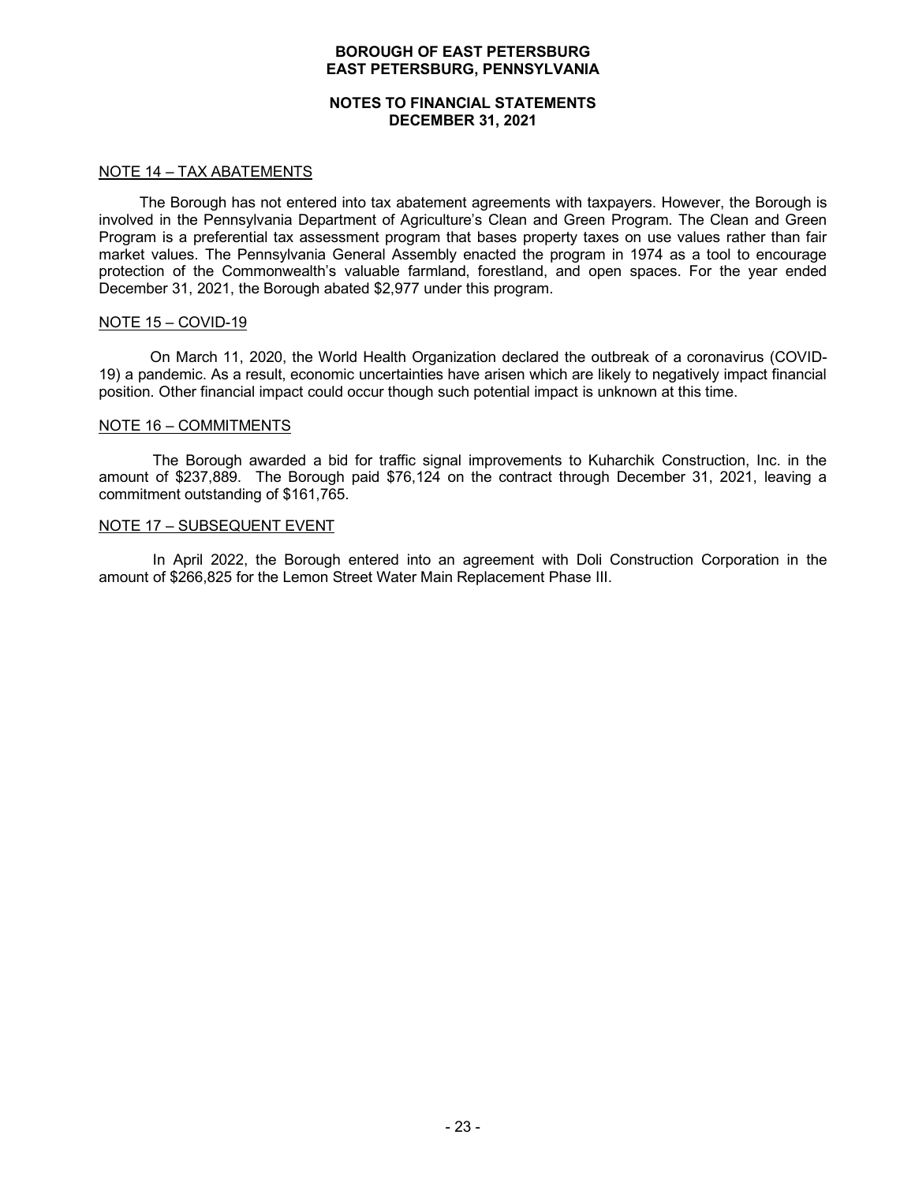### **NOTES TO FINANCIAL STATEMENTS DECEMBER 31, 2021**

### NOTE 14 – TAX ABATEMENTS

 The Borough has not entered into tax abatement agreements with taxpayers. However, the Borough is involved in the Pennsylvania Department of Agriculture's Clean and Green Program. The Clean and Green Program is a preferential tax assessment program that bases property taxes on use values rather than fair market values. The Pennsylvania General Assembly enacted the program in 1974 as a tool to encourage protection of the Commonwealth's valuable farmland, forestland, and open spaces. For the year ended December 31, 2021, the Borough abated \$2,977 under this program.

#### NOTE 15 – COVID-19

 On March 11, 2020, the World Health Organization declared the outbreak of a coronavirus (COVID-19) a pandemic. As a result, economic uncertainties have arisen which are likely to negatively impact financial position. Other financial impact could occur though such potential impact is unknown at this time.

#### NOTE 16 – COMMITMENTS

 The Borough awarded a bid for traffic signal improvements to Kuharchik Construction, Inc. in the amount of \$237,889. The Borough paid \$76,124 on the contract through December 31, 2021, leaving a commitment outstanding of \$161,765.

#### NOTE 17 – SUBSEQUENT EVENT

 In April 2022, the Borough entered into an agreement with Doli Construction Corporation in the amount of \$266,825 for the Lemon Street Water Main Replacement Phase III.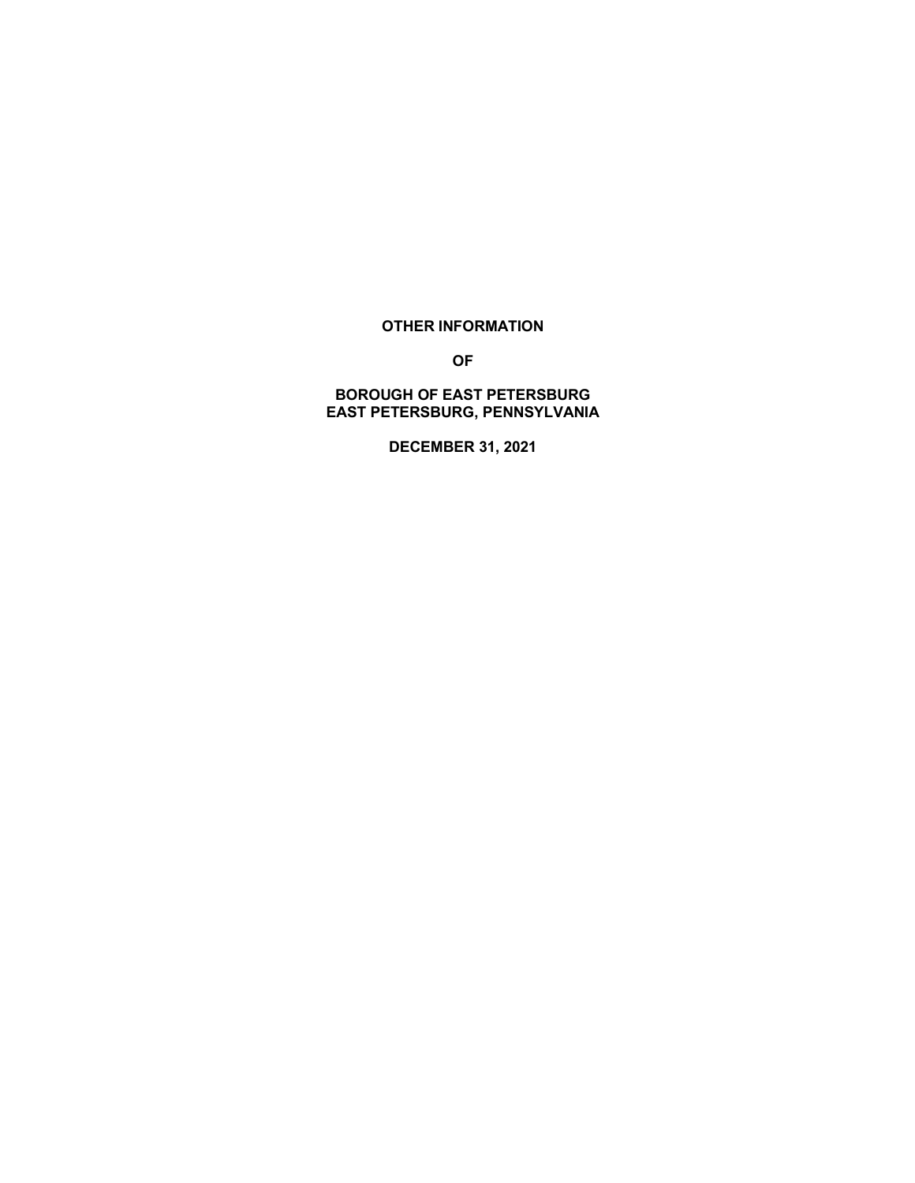### **OTHER INFORMATION**

**OF** 

# **BOROUGH OF EAST PETERSBURG EAST PETERSBURG, PENNSYLVANIA**

**DECEMBER 31, 2021**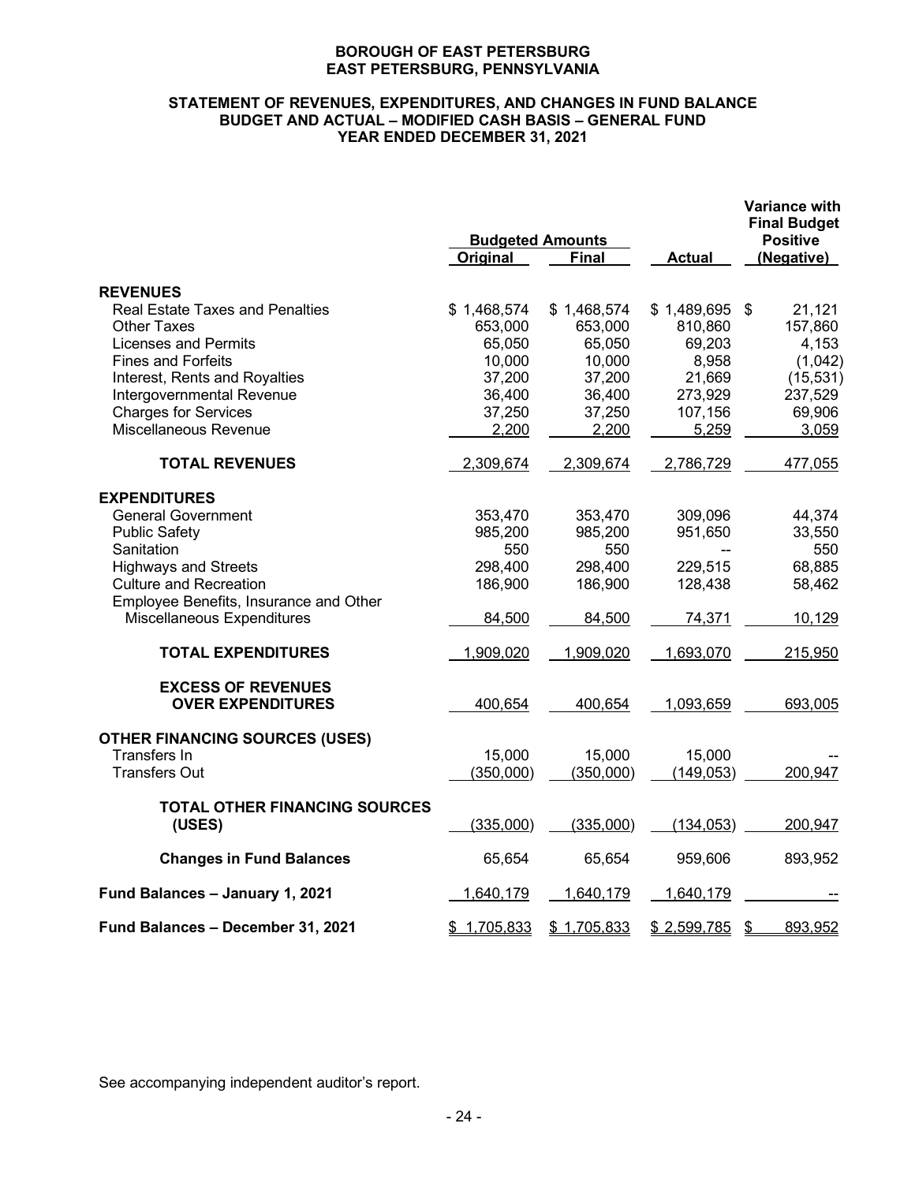### **STATEMENT OF REVENUES, EXPENDITURES, AND CHANGES IN FUND BALANCE BUDGET AND ACTUAL – MODIFIED CASH BASIS – GENERAL FUND YEAR ENDED DECEMBER 31, 2021**

|                                        |                                     |              |               | <b>Variance with</b><br><b>Final Budget</b> |
|----------------------------------------|-------------------------------------|--------------|---------------|---------------------------------------------|
|                                        | <b>Budgeted Amounts</b><br>Original | <b>Final</b> | <b>Actual</b> | <b>Positive</b><br>(Negative)               |
|                                        |                                     |              |               |                                             |
| <b>REVENUES</b>                        |                                     |              |               |                                             |
| Real Estate Taxes and Penalties        | \$1,468,574                         | \$1,468,574  | \$1,489,695   | \$<br>21,121                                |
| <b>Other Taxes</b>                     | 653,000                             | 653,000      | 810,860       | 157,860                                     |
| <b>Licenses and Permits</b>            | 65,050                              | 65,050       | 69,203        | 4,153                                       |
| <b>Fines and Forfeits</b>              | 10,000                              | 10,000       | 8,958         | (1,042)                                     |
| Interest, Rents and Royalties          | 37,200                              | 37,200       | 21,669        | (15, 531)                                   |
| Intergovernmental Revenue              | 36,400                              | 36,400       | 273,929       | 237,529                                     |
| <b>Charges for Services</b>            | 37,250                              | 37,250       | 107,156       | 69,906                                      |
| Miscellaneous Revenue                  | 2,200                               | 2,200        | 5,259         | 3,059                                       |
| <b>TOTAL REVENUES</b>                  | 2,309,674                           | 2,309,674    | 2,786,729     | 477,055                                     |
| <b>EXPENDITURES</b>                    |                                     |              |               |                                             |
| <b>General Government</b>              | 353,470                             | 353,470      | 309,096       | 44,374                                      |
| <b>Public Safety</b>                   | 985,200                             | 985,200      | 951,650       | 33,550                                      |
| Sanitation                             | 550                                 | 550          |               | 550                                         |
| <b>Highways and Streets</b>            | 298,400                             | 298,400      | 229,515       | 68,885                                      |
| <b>Culture and Recreation</b>          | 186,900                             | 186,900      | 128,438       | 58,462                                      |
| Employee Benefits, Insurance and Other |                                     |              |               |                                             |
| Miscellaneous Expenditures             | 84,500                              | 84,500       | 74,371        | 10,129                                      |
|                                        |                                     |              |               |                                             |
| <b>TOTAL EXPENDITURES</b>              | 1,909,020                           | 1,909,020    | 1,693,070     | 215,950                                     |
| <b>EXCESS OF REVENUES</b>              |                                     |              |               |                                             |
| <b>OVER EXPENDITURES</b>               | 400,654                             | 400,654      | 1,093,659     | 693,005                                     |
| <b>OTHER FINANCING SOURCES (USES)</b>  |                                     |              |               |                                             |
| <b>Transfers In</b>                    | 15,000                              | 15,000       | 15,000        |                                             |
| <b>Transfers Out</b>                   | (350,000)                           | (350,000)    | (149, 053)    | 200,947                                     |
| <b>TOTAL OTHER FINANCING SOURCES</b>   |                                     |              |               |                                             |
| (USES)                                 | (335,000)                           | (335,000)    | (134, 053)    | 200,947                                     |
|                                        |                                     |              |               |                                             |
| <b>Changes in Fund Balances</b>        | 65,654                              | 65,654       | 959,606       | 893,952                                     |
| Fund Balances - January 1, 2021        | 1,640,179                           | 1,640,179    | 1,640,179     |                                             |
| Fund Balances - December 31, 2021      | 1,705,833<br>\$                     | \$1,705,833  | \$2,599,785   | 893,952<br>$\mathcal{L}$                    |

See accompanying independent auditor's report.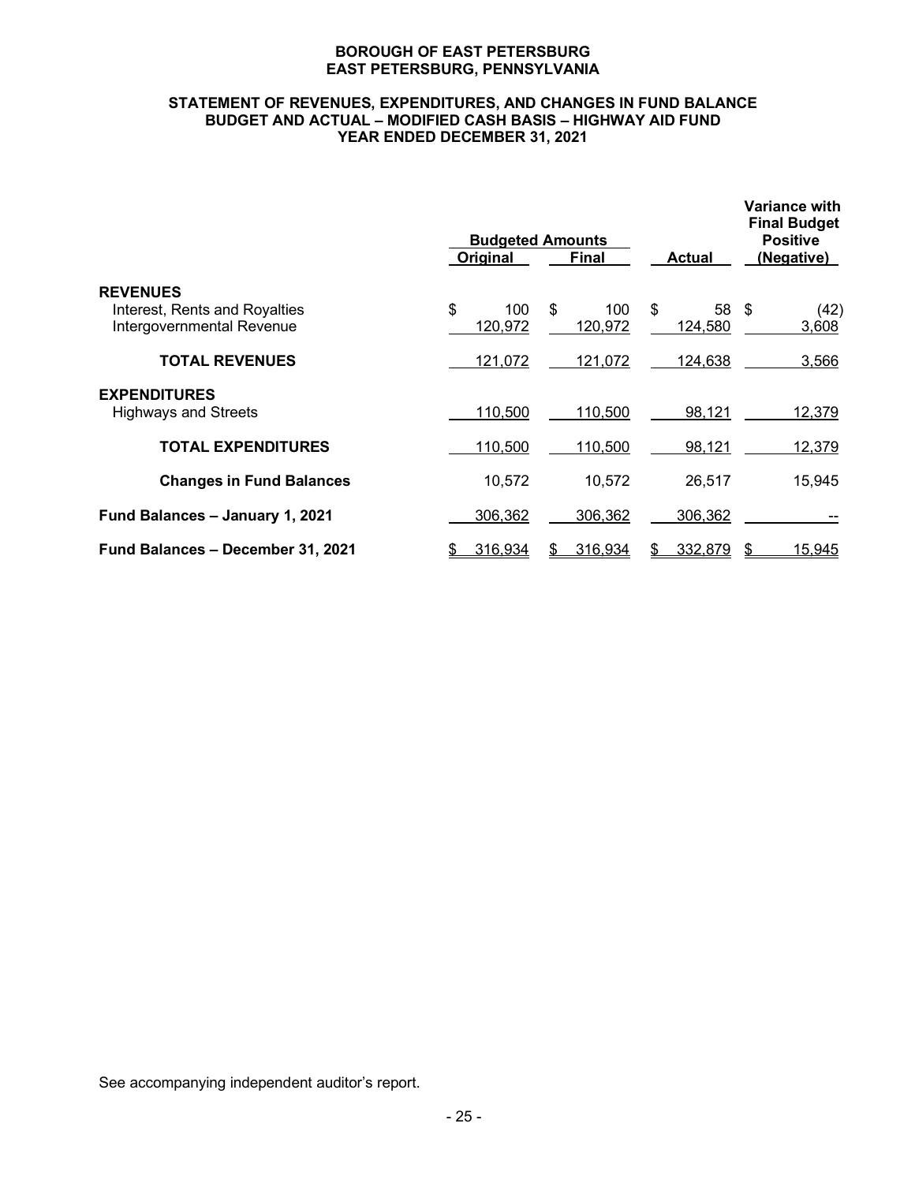### **STATEMENT OF REVENUES, EXPENDITURES, AND CHANGES IN FUND BALANCE BUDGET AND ACTUAL – MODIFIED CASH BASIS – HIGHWAY AID FUND YEAR ENDED DECEMBER 31, 2021**

|                                                            | <b>Budgeted Amounts</b> |                          |    |                |    |                  | Variance with<br><b>Final Budget</b><br><b>Positive</b> |                |
|------------------------------------------------------------|-------------------------|--------------------------|----|----------------|----|------------------|---------------------------------------------------------|----------------|
|                                                            |                         | <b>Final</b><br>Original |    | <b>Actual</b>  |    |                  | (Negative)                                              |                |
| <b>REVENUES</b>                                            |                         |                          |    |                |    |                  |                                                         |                |
| Interest, Rents and Royalties<br>Intergovernmental Revenue | \$                      | 100<br><u>120,972</u>    | \$ | 100<br>120,972 | \$ | 58 \$<br>124,580 |                                                         | (42)<br>3,608  |
| <b>TOTAL REVENUES</b>                                      |                         | 121,072                  |    | 121,072        |    | 124,638          |                                                         | 3,566          |
| <b>EXPENDITURES</b><br><b>Highways and Streets</b>         |                         | 110,500                  |    | 110,500        |    | 98,121           |                                                         | 12,379         |
| <b>TOTAL EXPENDITURES</b>                                  |                         | 110,500                  |    | 110,500        |    | 98,121           |                                                         | 12,379         |
| <b>Changes in Fund Balances</b>                            |                         | 10,572                   |    | 10,572         |    | 26,517           |                                                         | 15,945         |
| Fund Balances - January 1, 2021                            |                         | <u>306,362</u>           |    | 306,362        |    | 306,362          |                                                         |                |
| Fund Balances - December 31, 2021                          |                         | 316.934                  |    | <u>316.934</u> |    | 332,879          |                                                         | <u> 15.945</u> |

See accompanying independent auditor's report.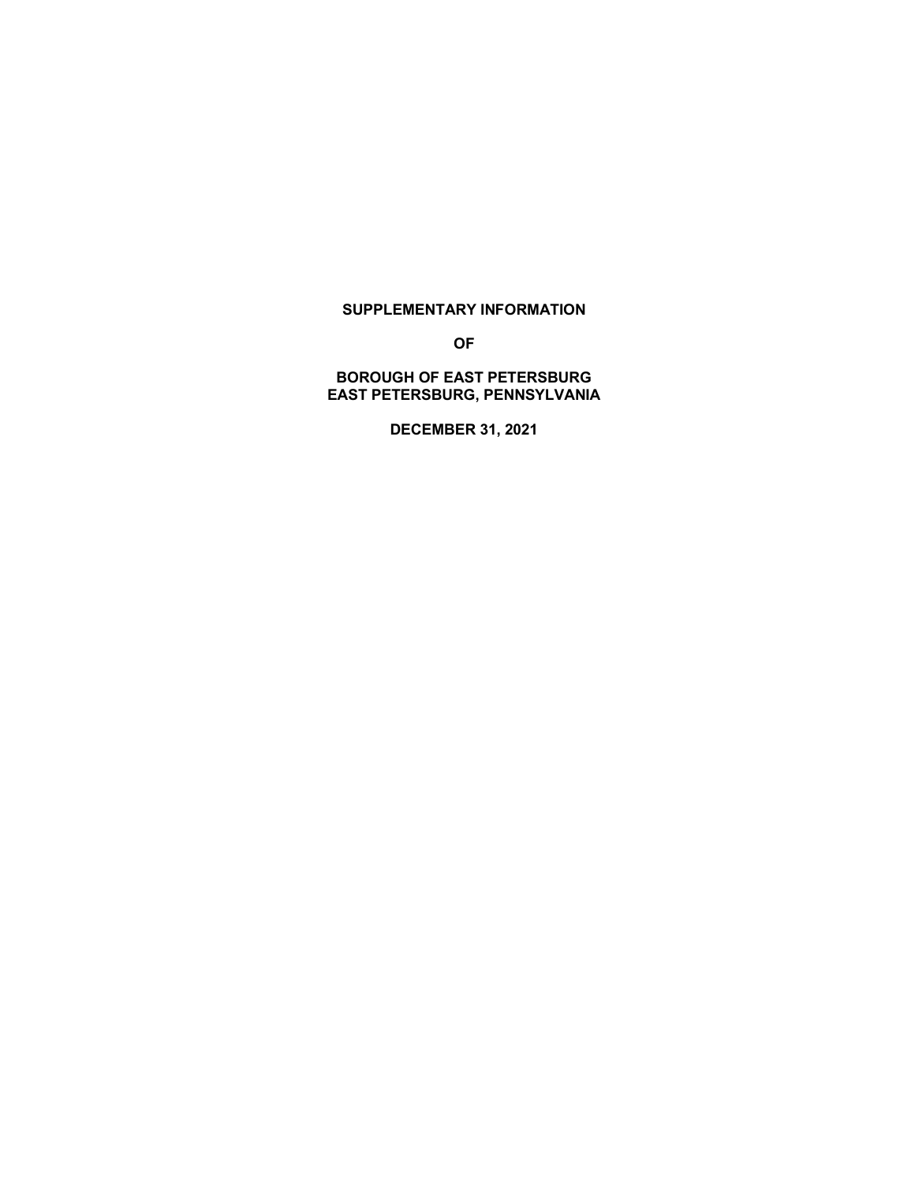### **SUPPLEMENTARY INFORMATION**

**OF** 

### **BOROUGH OF EAST PETERSBURG EAST PETERSBURG, PENNSYLVANIA**

**DECEMBER 31, 2021**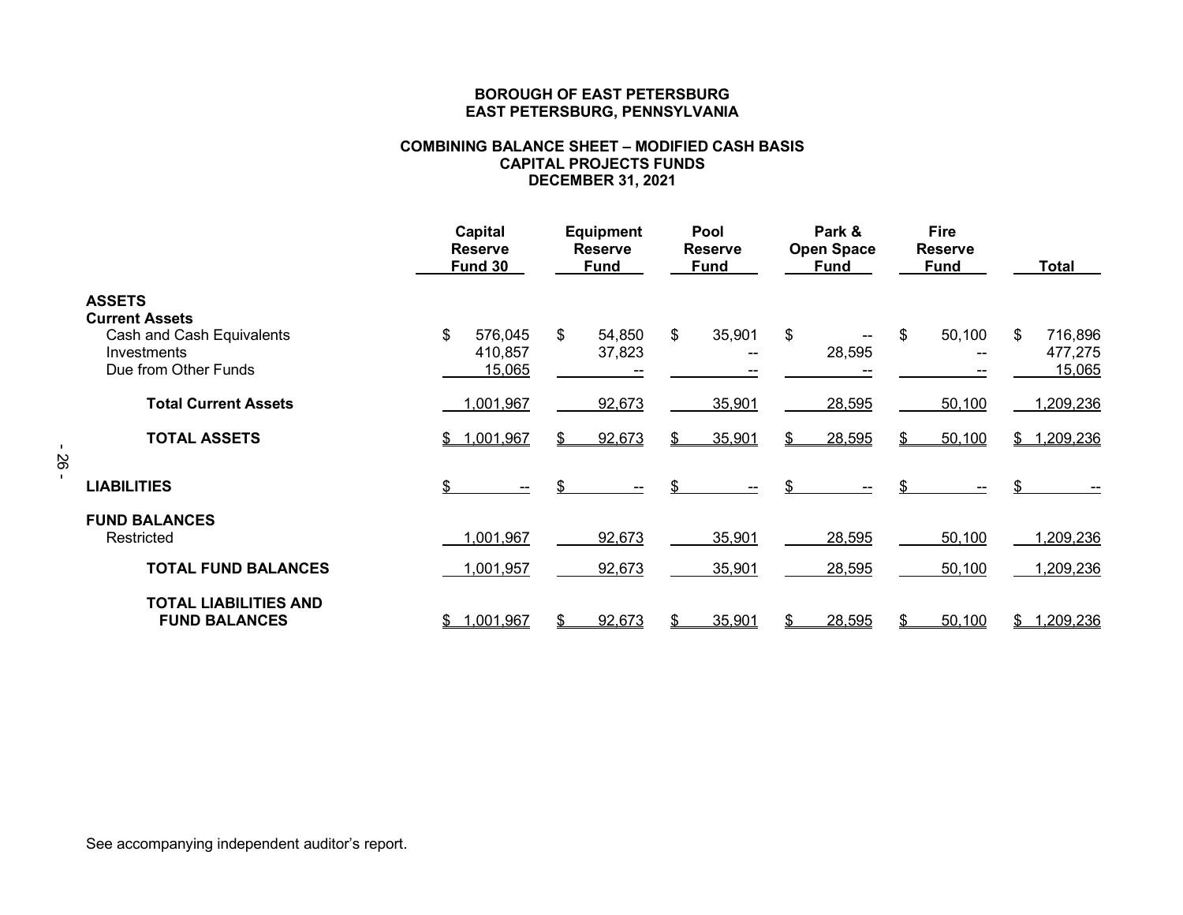### **COMBINING BALANCE SHEET – MODIFIED CASH BASIS CAPITAL PROJECTS FUNDS DECEMBER 31, 2021**

|                                                                                           | Capital<br><b>Reserve</b><br>Fund 30 |                        | Pool<br><b>Equipment</b><br><b>Reserve</b><br><b>Reserve</b><br><b>Fund</b><br><b>Fund</b> |              | Park &<br><b>Open Space</b><br><b>Fund</b> | <b>Fire</b><br><b>Reserve</b><br><b>Fund</b>              |  |
|-------------------------------------------------------------------------------------------|--------------------------------------|------------------------|--------------------------------------------------------------------------------------------|--------------|--------------------------------------------|-----------------------------------------------------------|--|
| <b>ASSETS</b>                                                                             |                                      |                        |                                                                                            |              |                                            |                                                           |  |
| <b>Current Assets</b><br>Cash and Cash Equivalents<br>Investments<br>Due from Other Funds | \$<br>576,045<br>410,857<br>15,065   | \$<br>54,850<br>37,823 | \$<br>35,901                                                                               | \$<br>28,595 | \$<br>50,100                               | $\boldsymbol{\mathsf{s}}$<br>716,896<br>477,275<br>15,065 |  |
| <b>Total Current Assets</b>                                                               | ,001,967                             | 92,673                 | 35,901                                                                                     | 28,595       | 50,100                                     | 1,209,236                                                 |  |
| <b>TOTAL ASSETS</b>                                                                       | ,001,967<br>$$^{\circ}$ 1            | 92,673                 | 35,901<br>\$.                                                                              | 28,595       | 50,100<br>\$.                              | \$1,209,236                                               |  |
| <b>LIABILITIES</b>                                                                        | \$                                   | \$                     | \$.                                                                                        |              | \$                                         |                                                           |  |
| <b>FUND BALANCES</b><br>Restricted                                                        | ,001,967                             | 92,673                 | 35,901                                                                                     | 28,595       | 50,100                                     | 1,209,236                                                 |  |
| <b>TOTAL FUND BALANCES</b>                                                                | 001,957                              | 92,673                 | 35,901                                                                                     | 28,595       | 50,100                                     | 1,209,236                                                 |  |
| <b>TOTAL LIABILITIES AND</b><br><b>FUND BALANCES</b>                                      | .001.967<br>\$                       | 92.673                 | 35,901                                                                                     | 28,595       | 50,100                                     | ,209,236<br>\$.                                           |  |